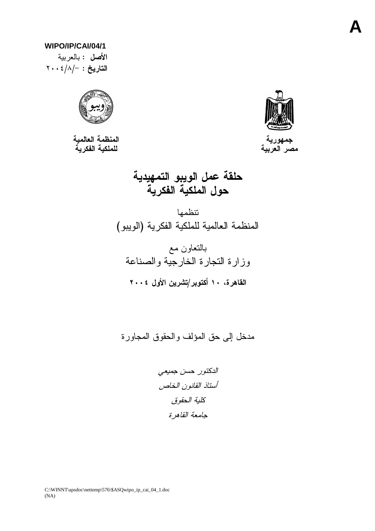### WIPO/IP/CAI/04/1

الأصل : بالعربية  $\mathsf{Y} \cdot \cdot \frac{2}{\lambda} - \frac{1}{\lambda}$ التاريخ:



المنظمة العالمية<br>للملكية الفكرية



حلقة عمل الويبو التمهيدية<br>حول الملكية الفكرية

تتظمها المنظمة العالمية للملكية الفكرية (الويبو)

مدخل إلى حق المؤلف والحقوق المجاورة

الدكتور حسن جميعى أستاذ القانون الخاص كلية الحقوق جامعة القاهرة

C:\WINNT\apsdoc\nettemp\576\\$ASQwipo\_ip\_cai\_04\_1.doc  $(NA)$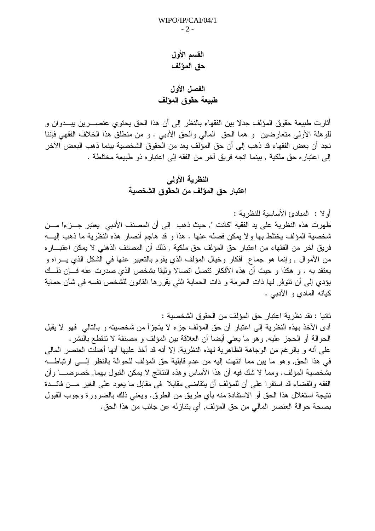## القسم الأول حق المؤلف

# الفصل الأول طبيعة حقوق المؤلف

أثارت طبيعة حقوق المؤلف جدلا بين الفقهاء بالنظر إلى أن هذا الحق يحتوي عنصــــرين يبـــدوان و للوهلة الأولى متعارضين و هما الحق المالي والحق الأدببي . و من منطلق هذا الخلاف الفقهي فإننا نجد أن بعض الفقهاء قد ذهب إلى أن حق المؤلف يعد من الحقوق الشخصية بينما ذهب البعض الآخر إلى اعتبار ، حق ملكية , بينما اتجه فريق آخر من الفقه إلى اعتبار ، ذو طبيعة مختلطة .

# النظرية الأولى اعتبار حق المؤلف من الحقوق الشخصية

أو لا : المبادئ الأساسبة للنظر بة :

ظهرت هذه النظرية على يد الفقيه "كانت ", حيث ذهب ۖ إلى أن المصنف الأدبي يعتبر جـــزءا مـــن شخصية المؤلف يختلط بها ولا يمكن فصله عنها . هذا و قد هاجم أنصار هذه النظرية ما ذهب إليـــه فريق أخر من الفقهاء من اعتبار حق المؤلف حق ملكية , ذلك أن المصنف الذهني لا يمكن اعتبـــار ه من الأموال , وإنما هو جماع ۖ أفكار وخيال المؤلف الذي يقوم بالتعبير عنها في الشكل الذي يــــراه و يعتقد به . و هكذا و حيث أن هذه الأفكار نتصل اتصالا وثيقا بشخص الذي صدرت عنه فـــإن ذلـــك يؤدي إلى أن نتوفر لها ذات الحرمة و ذات الحماية التي يقررها القانون للشخص نفسه في شأن حماية كيانه المادي و الأدببي .

ثانيا : نقد نظر ية اعتبار حق المؤلف من الحقوق الشخصية : أدى الأخذ بهذه النظرية إلى اعتبار أن حق المؤلف جزء لا يتجزأ من شخصيته و بالتالي فهو لا يقبل الحوالة أو الحجز عليه, وهو ما يعني أيضا أن العلاقة بين المؤلف و مصنفة لا تتقطع بالنشر . على أنه و بالرغم من الوجاهة الظاهرية لهذه النظرية, إلا أنه قد أخذ عليها أنها أهملت العنصر المالي في هذا الحق, وهو ما يبن مما انتهت إليه من عدم قابلية حق المؤلف للحوالة بالنظر إلـــي ارتباطـــه بشخصية المؤلف. ومما لا شك فيه أن هذا الأساس وهذه النتائج لا يمكن القبول بهما, خصوصــــا وأن الفقه والقضاء قد استقرًا على أن للمؤلف أن يتقاضى مقابلا ً في مقابل ما يعود على الغير مـــن فائـــدة نتيجة استغلال هذا الحق أو الاستفادة منه بأي طريق من الطرق. ويعني ذلك بالضرورة وجوب القبول بصحة حوالة العنصر المالي من حق المؤلف, أي بتنازله عن جانب من هذا الحق.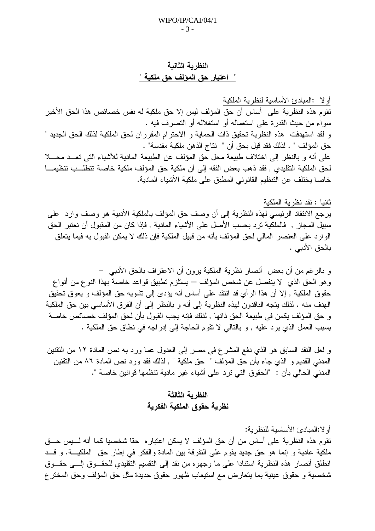## النظرية الثانية <u>" اعتبار حق المؤلف حق ملكية "</u>

أولا :المبادئ الأساسية لنظرية الملكية .<br>تقوم هذه النظرية على أساس أن حق المؤلف ليس إلا حق ملكية له نفس خصائص هذا الحق الأخير سواء من حيث القدرة على استعماله أو استغلاله أو التصرف فيه . و لقد استهدفت هذه النظرية تحقيق ذات الحماية و الاحترام المقرر ان لحق الملكية لذلك الحق الجديد " حق المؤلف " . لذلك فقد قيل بحق أن " نتاج الذهن ملكية مقدسة" . على أنه و بالنظر إلى اختلاف طبيعة محل حق المؤلف عن الطبيعة المادية للأشياء التي تعــد محـــلا لحق الملكية التقليدي , فقد ذهب بعض الفقه إلى أن ملكية حق المؤلف ملكية خاصة تتطلــب تنظيمـــا خاصا يختلف عن التنظيم القانوني المطبق على ملكية الأشياء المادية.

#### ثانيا : نقد نظرية الملكية

يرجع الانتقاد الرئيسي لهذه النظرية إلى أن وصف حق المؤلف بالملكية الأدبية هو وصف وارد على سبيلٌ المجاز , فالملكية ترد بحسب الأصل على الأشياء المادية , فإذا كان من المقبول أن نعتبر الحق الوارد على العنصر المالي لحق المؤلف بأنه من قبيل الملكية فإن ذلك لا يمكن القبول به فيما يتعلق بالحق الأدبي .

و بالرغم من أن بعض ۖ أنصارٍ نظرية الملكية يرون أن الاعتراف بالحق الأدبي ۖ – و هو الحق الذي لا ينفصل عن شخص المؤلف — يستلزم تطبيق قواعد خاصة بهذا النوع من أنواع حقوق الملكية , إلا أن هذا الرأى قد انتقد على أساس أنه يؤدي إلى تشويه حق المؤلف و يعوق تحقيق الهدف منه . لذلك بتجه الناقدون لهذه النظرية إلى أنه و بالنظر إلى أن الفرق الأساسى بين حق الملكية و حق المؤلف يكمن في طبيعة الحق ذاتها , لذلك فإنه يجب القبول بأن لحق المؤلف خصائص خاصة بسبب العمل الذي يرد عليه , و بالنالي لا نقوم الحاجة إلى إدراجه في نطاق حق الملكية .

و لعل النقد السابق هو الذي دفع المشرع في مصر إلى العدول عما ورد به نص المادة ١٢ من النقنين المدنى القديم و الذي جاء بأن حق المؤلف " حق ملكية " , لذلك فقد ورد نص المادة ٨٦ من النقنين المدنى الحالي بأن : "الحقوق التي ترد على أشباء غير مادية تنظمها قوانين خاصة ".

## النظرية الثالثة نظرية حقوق الملكية الفكرية

أو لا:المبادئ الأساسية للنظر ية: تقوم هذه النظرية على أساس من أن حق المؤلف لا يمكن اعتبار محقا شخصيا كما أنه لــــيس حـــق ملكية عادية و إنما هو حق جديد يقوم على النفرقة بين المادة والفكر في إطار حق الملكيـــة. و قـــد انطلق أنصار هذه النظرية استنادا على ما وجهوه من نقد إلى النقسيم النقليدي للحقــوق إلـــي حقــوق شخصية و حقوق عينية بما يتعارض مع استيعاب ظهور حقوق جديدة مثل حق المؤلف وحق المختر ع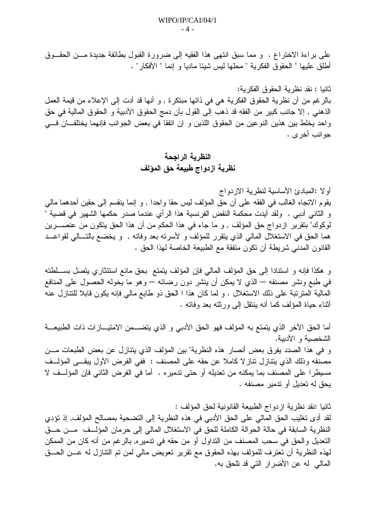على براءة الاختراع . و مما سبق انتهى هذا الفقيه إلى ضرورة القبول بطائفة جديدة مـــن الحقـــوق أطلق عليها " الحقو ق الفكر ية " محلها ليس شيئا ماديا و إنما " الأفكار " .

ثانيا : نقد نظر بة الحقوق الفكر بة: بالرغم من أن نظرية الحقوق الفكرية هي في ذاتها مبتكرة , و أنها قد أدت إلى الإعلاء من قيمة العمل الذهني , إلا جانب كبير من الفقه قد ذهب إلى القول بأن دمج الحقوق الأدبية و الحقوق المالية في حق واحد يخلط بين هذين النوعين من الحقوق اللذين و إن انفقا في بعض الجوانب فإنهما يختلفان في جو انب اُخر ي .

## النظرية الراجحة نظرية ازدواج طبيعة حق المؤلف

أو لا :المبادئ الأساسية لنظر بة الاز دو اج يقوم الاتجاه الغالب في الفقه على أن حق المؤلف ليس حقا واحدا , و إنما ينقسم إلى حقين أحدهما مالي و الثاني أدبي . ولقد أيدت محكمة النقض الفرنسية هذا الرأي عندما صدر حكمها الشهير في قضية " لوكوك" بنقرير ازدواج حق المؤلف , و ما جاء في هذا الحكم من أن هذا الحق يتكون من عنصــــرين هما الحق في الاستغلال المالي الذي يتقرر للمؤلف و لأسرته بعد وفاته , و يخضع بالتـــالي لقواعـــد القانون المدنى شريطة أن نكون منفقة مع الطبيعة الخاصة لهذا الحق .

و هكذا فإنه و استنادا إلى حق المؤلف المالي فإن المؤلف يتمتع بحق مانع استئثاري يتصل بســلطته في طبع ونشر مصنفه — الذي لا يمكن أن ينشر دون رضائه — وهو ما يخوله الحصول على المنافع المالية المترتبة على ذلك الاستغلال . و لما كان هذا ا الحق ذو طابع مالي فإنه يكون قابلا للتنازل عنه أثناء حياة المؤلف كما أنه بنتقل إلى ورثته بعد وفاته .

أما الحق الآخر الذي يتمتع به المؤلف فهو الحق الأدبي و الذي يتضـــمن الامتيـــازات ذات الطبيعـــة الشخصية و الأدبية. و في هذا الصدد يفرق بعض أنصار هذه النظرية" بين المؤلف الذي يتنازل عن بعض الطبعات مـــن مصنفه وذلك الذي يتنازل تناز لا كاملا عن حقه على المصنف : ففي الفرض الأول يبقـــي المؤلــف مسيطرا على المصنف بما يمكنه من تعديله أو حتى تدميره . أما في الفرض الثاني فإن المؤلــف لا يحق له تعديل أو تدمير مصنفه .

ثانيا :نقد نظرية ازدواج الطبيعة القانونية لحق المؤلف : لقد أدى نغليب الحق المالي على الحق الأدبي في هذه النظرية إلى النضحية بمصالح المؤلف, إذ نؤدي النظرية السابقة في حالة الحوالة الكاملة للحق في الاستغلال المالي إلى حرمان المؤلِّــف مـــن حـــق النعديل والحق في سحب المصنف من النداول أو من حقه في ندمير ه, بالرغم من أنه كان من الممكن لمهذه النظرية أن تعترف للمؤلف بهذه الحقوق مع نقرير تعويض مالي لمن تم النتازل له عـــن الحـــق المالي له عن الأضرار التي قد تلحق به.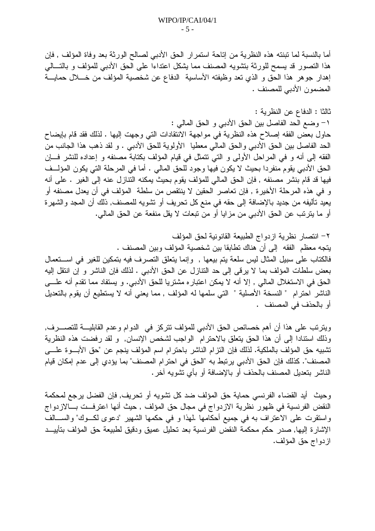أما بالنسبة لما تبنته هذه النظرية من إناحة استمرار الحق الأدبي لصالح الورثة بعد وفاة المؤلف , فإن هذا النصور قد بسمح للورثة بنشويه المصنف مما بشكل اعتداءا على الحق الأدبى للمؤلف و بالنسالي إهدار جوهر هذا الحق و الذي نعد وظيفته الأساسية الدفاع عن شخصية المؤلف من خـــلال حمايــــة المضمون الأدبي للمصنف .

### ثالثا : الدفاع عن النظرية :

١- وضع الحد الفاصل بين الحق الأدبي و الحق المالي :

حاول بعض الفقه إصلاح هذه النظرية في مواجهة الانتقادات التي وجهت إليها . لذلك فقد قام بإيضاح الحد الفاصل بين الحق الأدبي والحق المالي معطيا الأولوية للحق الأدبي . و لقد ذهب هذا الجانب من الفقه إلى أنه و في المراحل الأولى و التي نتمثل في قيام المؤلف بكتابة مصنفه و إعداده للنشر فسإن الحق الأدبي يقوم منفردا بحيث لا يكون فيها وجود للحق المالي . أما في المرحلة التي يكون المؤلــف فيها قد قام بنشر مصنفه , فإن الحق المالي للمؤلف يقوم بحيث يمكنه النتازل عنه إلى الغير . على أنه و في هذه المرحلة الأخيرة , فإن تعاصر الحقين لا ينتقص من سلطة المؤلف في أن يعدل مصنفه أو يعيد نأليفه من جديد بالإضافة إلى حقه في منع كل تحريف أو تشويه للمصنف, ذلك أن المجد والشهرة أو ما يترتب عن الحق الأدبي من مزايا أو من تبعات لا يقل منفعة عن الحق المالي.

٢– انتصار نظرية ازدواج الطبيعة القانونية لحق المؤلف يتجه معظم الفقه إلى أن هناك تطابقا بين شخصية المؤلف وبين المصنف . فالكتاب على سبيل المثال ليس سلعة يتم بيعها , وإنما يتعلق التصرف فيه بتمكين للغير في اســـتعمال بعض سلطات المؤلف بما لا يرقى إلى حد النتازل عن الحق الأدبى . لذلك فإن الناشر و إن انتقل إليه الحق في الاستغلال المالي , إلا أنه لا يمكن اعتبار ه مشتريا للحق الأدبي. و يستفاد مما تقدم أنه علـــي الناشر احترام " النسخة الأصلية " التي سلمها له المؤلف , مما يعني أنه لا يستطيع أن يقوم بالتعديل أو بالحذف في المصنف .

ويترتب على هذا أن أهم خصائص الحق الأدبي للمؤلف نتركز في الدوام وعدم القابليــــة للتصــــــرف, وذلك استنادا إلى أن هذا الحق يتعلق بالاحترام الواجب لشخص الإنسان, و لقد رفضت هذه النظرية تشبيه حق المؤلف بالملكية. لذلك فإن النزرام الناشر باحترام اسم المؤلف ينجم عن "حق الأبوة علـــى المصنف". كذلك فإن الحق الأدبي يرتبط به "الحق في احترام المصنف" بما يؤدي إلى عدم إمكان قيام الناشر بتعديل المصنف بالحذف أو بالإضافة أو بأي نشويه آخر .

وحيث أيد القضاء الفرنسي حماية حق المؤلف ضد كل تشويه أو تحريف, فإن الفضل برجع لمحكمة النقض الفرنسية في ظهور نظرية الازدواج في مجال حق المؤلف , حيث أنها اعترفت بــالازدواج واستقرت على الاعتراف به في جميع أحكامها .لمهذا و في حكمها الشهير "دعوى لكـــوك" والســــالف الإشارة إليها, صدر حكم محكمة النقض الفرنسية بعد تحليل عميق ودقيق لطبيعة حق المؤلف بتأييــد از دو اج حق المؤلف.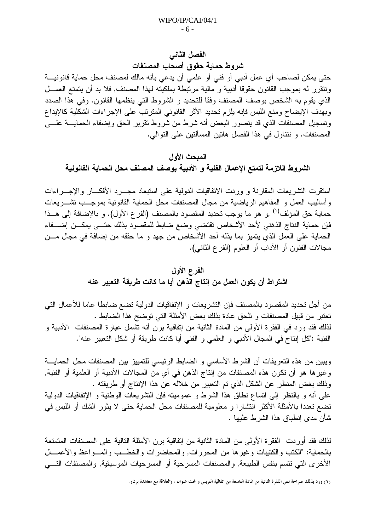#### الفصل الثاني

شروط حماية حقوق أصحاب المصنفات

حتى يمكن لصاحب أي عمل أدبي أو فني أو علمي أن يدعى بأنه مالك لمصنف محل حماية قانونيـــة ونتقرر له بموجب القانون حقوقا أدبية و مالية مرتبطة بملكيته لهذا المصنف, فلا بد أن يتمتع العمـــل الذي يقوم به الشخص بوصف المصنف وفقا للنحديد و الشروط التي ينظمها القانون. وفي هذا الصدد وبهدف الإيضاح ومنع اللبس فإنه بلزم تحديد الأثر القانوني المترنب على الإجراءات الشكلية كالإيداع ونسجيل المصنفات الذي قد يتصور البعض أنه شرط من شروط نقرير الحق وإضفاء الحمايــــة علــــي المصنفات. و ننتاول في هذا الفصل هاتين المسألتين على التوالي.

### المبحث الأول

الشروط اللازمة لتمتع الإعمال الفنية و الأدبية بوصف المصنف محل الحماية القانونية

استقرت التشريعات المقارنة و وردت الاتفاقيات الدولية على استبعاد مجـــرد الأفكـــار والإجـــراءات وأساليب العمل و المفاهيم الرياضية من مجال المصنفات محل الحماية القانونية بموجـــب تشـــريعات حماية حق المؤلف<sup>(י)</sup> ,و هو ما يوجب تحديد المقصود بالمصنف (الفرع الأول). و بالإضافة إلى هــذا فإن حماية النتاج الذهني لأحد الأشخاص تقتضي وضع ضابط للمقصود بذلك حتسى يمكـــن إضــــفاء الحماية على العمل الذي يتميز بما بذله أحد الأشخاص من جهد و ما حققه من إضافة في مجال مـــن مجالات الفنون أو الأداب أو العلوم (الفرع الثانبي).

### الفرع الأول

### اشتراط أن يكون العمل من إنتاج الذهن أيا ما كانت طريقة التعبير عنه

من أجل تحديد المقصود بالمصنف فإن التشريعات و الإنفاقيات الدولية تضع ضابطا عاما للأعمال التي نعتبر من قبيل المصنفات و نلحق عادة بذلك بعض الأمثلة التي توضح هذا الضابط . لذلك فقد ورد في الفقرة الأولى من المادة الثانية من إنفاقية برن أنه نشمل عبارة المصنفات الأدبية و الفنية :"كل إنتاج في المجال الأدبي و العلمي و الفني أيا كانت طريقة أو شكل التعبير عنه".

ويبين من هذه النعريفات أن الشرط الأساسي و الضابط الرئيسي للتمييز بين المصنفات محل الحمايـــة وغيرها هو أن تكون هذه المصنفات من إنتاج الذهن في أي من المجالات الأدبية أو العلمية أو الفنية, وذلك بغض المنظر عن الشكل الذي تم التعبير من خلاله عن هذا الإنتاج أو طريقته . على أنه و بالنظر إلى اتساع نطاق هذا الشرط و عموميته فإن التشريعات الوطنية و الإتفاقيات الدولية تضع تعددا بالأمثلة الأكثر انتشارًا و معلومية للمصنفات محل الحماية حتى لا يثور الشك أو اللبس في شأن مدى إنطباق هذا الشرط عليها .

لذلك فقد أوردت الفقرة الأولى من المادة الثانية من إتفاقية برن الأمثلة التالية على المصنفات المتمتعة بالحماية: "الكتب والكتيبات وغيرها من المحررات, والمحاضرات والخطــب والمـــواعظ والأعمـــال الأخرى التي تتسم بنفس الطبيعة, والمصنفات المسرحية أو المسرحيات الموسيقية, والمصنفات التسي

<sup>(</sup>١) ورد بذلك صراحة نص الفقرة الثانية من المادة التاسعة من اتفاقية التربس و تحت عنوان : (العلاقة مع معاهدة برن).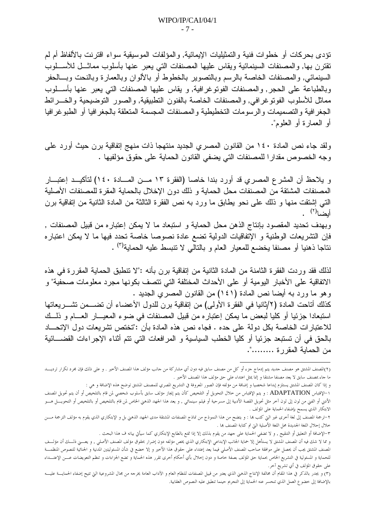نؤدى بحركات أو خطوات فنية والتمثيليات الإيمائية, والمؤلفات الموسيقية سواء اقترنت بالألفاظ أم لم نقترن بها, والمصنفات السبنمائية ويقاس عليها المصنفات التبي يعبر عنها بأسلوب مماثـــل للأســـلوب السينمائي, والمصنفات الخاصة بالرسم وبالتصوير بالخطوط أو بالألوان وبالعمارة وبالنحت وبسالحفر وبالطباعة على الحجر, والمصنفات الفونوغرافية, و يقاس عليها المصنفات التي يعبر عنها بأســلوب مماثل للأسلوب الفونوغرافي, والمصنفات الخاصة بالفنون التطبيقية, والصور النوضيحية والخسرائط الجغرافية والتصميمات والرسومات التخطيطية والمصنفات المجسمة المتعلقة بالجغرافيا أو الطبوغرافيا أو العمار ة أو العلوم".

ولقد جاء نص المادة ١٤٠ من القانون المصري الجديد منتهجا ذات منهج إنفاقية برن حيث أورد على وجه الخصوص مقدارا للمصنفات التي يضفي القانون الحماية على حقوق مؤلفيها .

و يلاحظ أن المشرع المصرى قد أورد بندا خاصا (الفقرة ١٣ مــن المـــادة ١٤٠) لتأكيــد إعتبـــار المصنفات المشتقة من المصنفات محل الحماية و ذلك دون الإخلال بالحماية المقرة للمصنفات الأصلية التـَّبي إشتقت منـها و ذلك علـِّي نـحو يطـابق مـا ورد بـه نص الفقرة الثالثة من المـادة الثانية من إتفاقية برن أبضا<sup>(٢)</sup> .

وبهدف تحديد المقصود بإنتاج الذهن محل الحماية و استبعاد ما لا يمكن إعتباره من قبيل المصنفات , فإن التشريعات الوطنية و الإتفاقيات الدولية تضع عادة نصوصا خاصة تحدد فيها ما لا يمكن اعتباره نتاجا ذهنيا أو مصنفا يخضع للمعيار العام و بالتالي لا نتبسط عليه الحماية<sup>(٣)</sup> .

لذلك فقد وردت الفقرة الثامنة من المادة الثانية من إتفاقية برن بأنه :"لا تنطبق الحماية المقررة في هذه الاتفاقية على الأخبار اليومية أو على الأحداث المختلفة التي تتصف بكونها مجرد معلومات صحفية" و وهو ما ورد به أيضا نص المادة (١٤١) من القانون المصرى الجديد .

كذلك أتاحت المادة (٢/ثانيا في الفقرة الأولى) من إنفاقية برن للدول الأعضاء أن تضـــمن تشـــريعاتها استبعادا جزئيا أو كليا لبعض ما يمكن إعتباره من قبيل المصنفات في ضوء المعيـــار العـــام و ذلـــك للاعتبار ات الخاصــة بكل دو لـة علـي حده . فجاء نص هذه المادة بأن :"تختص تشر يعات دو ل الإتحــــاد بالحق في أن تستبعد جزئيا أو كليا الخطب السياسية و المرافعات التي نتم أثناء الإجراءات القضــــائية من الحماية المقررة .........".

<sup>(</sup>٢)المصنف المشتق هو مصنف جديد يتم إدماج جزء أو كل من مصنف سابق فيه دون أي مشاركة من جانب مؤلف هذا المصنف الأخير . و على ذلك فإن مجرد تكرار ترديسـد ما جاء بمصنف سابق لا يعد مصنفا مشتقا و إنما يمثل اعتداء على حق مؤلف هذا المصنف الأخير .

و إذا كان المصنف المشتق يستلزم إبداعا شخصيا و إضافة من مؤلفه فإن الصور المعروفة في التشريع المصري للمصنف المشتق توضح هذه الإضافة و هي :

١–الإقتباس ADAPTATION : و يتم الإقتباس من خلال التحويل أو التلخيص كأن يتم إيجاز مؤلف سابق بأسلوب شخصي لمن قام بالتلخيص أو أن يتم تحويل المصنف الأدبي أو الفني من لون إلى لون آخر مثل تحويل القصة الأدبية إلى مسرحية أو فيلم سينمائي , و يعد هذا الجهد الذهني الحاص لمن قام بالتلخيص أو بالتلخيص أو التحويــــل هــــو الابتكار الذي يسمح بإضفاء الحماية على المؤلف .

٢–ترجمة المصنف إلى لغة أخرى غير التي كتب ها : و يتضح من هذا النموذج من نماذج المصنفات المشتقة مدى الجهد الذهنى بل و الإبتكاري الذي يقوم به مؤلف الترجمة مــــن خلال إحلال اللغة الجديدة محل اللغة الأصلية التي تم كتابة المصنف بما .

٣–الإضافة أو التعليق أو التنقيح , و لا تضفي الحماية على جهد من يقوم بذلك إلا إذا تمتع بالطابع الإبتكاري كما سيأتي بيانه ف هذا البحث .

و مما لا شك فيه أن المصنف المشتق لا يستأهل إلا حماية الجانب الإبداعي الإبتكاري الذي يخص مؤلفه ومثل إضاف العصف الأصلي , و يعـــني ذلـــك أن مؤلـــف المصنف المشتق يجب أن يحصل على موافقة صاحب المصنف الأصلي فيما يعد إعتداء على حقوق هذا الأخير و إلا خضع في شأن المسئوليتين المدنية و الجنائية للنصوص المنظمـــة للحماية و المسئولية في التشريع الخاص بحماية حق المؤلف بصفة خاصة و دون إحلال بأي أحكام أخرى تقرر هذه الحماية و تضع الجزاءات و تنظم التعويضات عـــن الإعتـــداء على حقوق المؤلف في أي تشريع آخر.

<sup>(</sup>٣) و يجدر بالذكر في هذا المقام أن مخالفة الإنتاج الذهبي الذي يعتبر من قبيل المصنفات للنظام العام الغرجا من جال المشروعية التي تتيح إضفاء الحمايسة عليب بالإضافة إلى خضوع العمل الذي تنحسر عنه الحماية إلى التجريم حينما تنطبق عليه النصوص العقابية.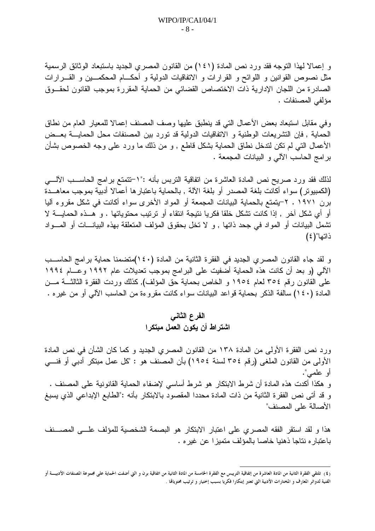و إعمالا لهذا النوجه فقد ورد نص المادة (١٤١) من القانون المصرى الجديد باستبعاد الوثائق الرسمية مثل نصوص القوانين و اللوائح و القرارات و الاتفاقيات الدولية و أحكـــام المحكمـــين و القــــرارات الصادرة من اللجان الإدارية ذات الاختصاص القضائي من الحماية المقررة بموجب القانون لحقــوق مؤلفي المصنفات .

وفي مقابل استبعاد بعض الأعمال التبي قد ينطبق عليها وصف المصنف إعمالا للمعيار العام من نطاق الحماية , فإن التشريعات الوطنية و الاتفاقيات الدولية قد نورد بين المصنفات محل الحمايــــة بعـــض الأعمال التبي لم نكن لندخل نطاق الحماية بشكل قاطع , و من ذلك ما ورد علمي وجه الخصوص بشأن برامج الحاسب الألبي و البيانات المجمعة .

لذلك فقد ورد صريح نص المادة العاشرة من انفاقية النربس بأنه :"١–تتمتع برامج الحاســـب الألــــي (الكمبيوتر) سواء أكانت بلغة المصدر أو بلغة الآلة , بالحماية باعتبارها أعمالا أدبية بموجب معاهــدة برن ١٩٧١ . ٢-يتمتع بالحماية البيانات المجمعة أو المواد الأخرى سواء أكانت في شكل مقروء أليا أو أي شكل آخر , إذا كانت نشكل خلقا فكريا نتيجة انتقاء أو ترتيب محتوياتها . و هــذه الحمايـــة لا تشمل البيانات أو المواد في جحد ذاتها , و لا تخل بحقوق المؤلف المتعلقة بهذه البيانـــات أو المـــواد ذاتها"(٤)

و لقد جاء القانون المصري الجديد في الفقرة الثانية من المادة (١٤٠)منضمنا حماية برامج الحاســب الألبي (و بعد أن كانت هذه الحماية أضفيت على البر امج بموجب نعديلات عام ١٩٩٢ وعـــام ١٩٩٤ على القانون رقم ٣٥٤ لعام ١٩٥٤ و الخاص بحماية حق المؤلف), كذلك وردت الفقرة الثالثـــة مـــن المادة (١٤٠) سالفة الذكر بحماية قواعد البيانات سواء كانت مقروءة من الحاسب الآلي أو من غيره .

## الفرع الثاني اشتراط أن يكون العمل مبتكرا

ورد نص الفقرة الأولى من المادة ١٣٨ من القانون المصرى الجديد و كما كان الشأن في نص المادة الأولىي من القانون الملغي (رقم ٣٥٤ لسنة ١٩٥٤) بأن المصنف هو : "كل عمل مبتكر أدبي أو فنـــي أو علمي". و هكذا أكدت هذه المادة أن شرط الابتكار هو شرط أساسي لإضفاء الحماية القانونية على المصنف . و قد أتى نص الفقرة الثانية من ذات المادة محددا المقصود بالابتكار بأنه :"الطابع الإبداعي الذي يسبغ الأصالة على المصنف"

هذا و لقد استقر الفقه المصرى على اعتبار الابتكار هو البصمة الشخصية للمؤلف علـــى المصـــنف باعتبار ه نتاجا ذهنيا خاصا بالمؤلف متميز ا عن غير ه .

<sup>(</sup>٤) تلتقى الفقرة الثانية من المادة العاشرة من إتفاقية التريبس مع الفقرة الخامسة من الثانية من اتفاقية برن و التي أضفت الحماية على مجموعة المصنفات الأدبيـــة أو الفنية لدوائر المعارف و المختارات الأدبية التي تعتبر إبتكارا فكريا بسبب إختيار و ترتيب محتويالها .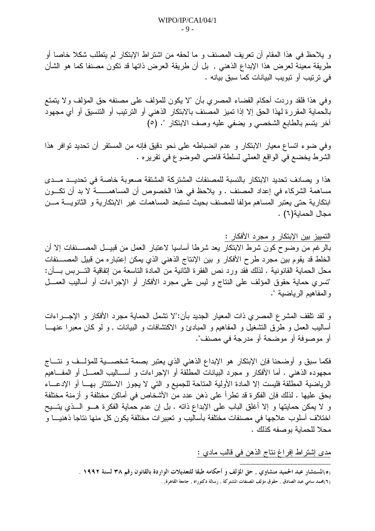و يلاحظ في هذا المقام أن تعريف المصنف و ما لحقه من اشتراط الإبتكار لم يتطلب شكلا خاصا أو طريقة معينة لعرض هذا الإبداع الذهني , بل أن طريقة العرض ذاتها قد نكون مصنفا كما هو الشأن في ترتيب أو تبويب البيانات كما سبق بيانه .

وفي هذا فلقد وردت أحكام القضاء المصري بأن "لا يكون للمؤلف على مصنفه حق المؤلف ولا يتمتع بالحماية المقررة لهذا الحق إلا إذا تميز المصنف بالابتكار الذهني أو الترتيب أو التتسيق أو أي مجهود أخر يتسم بالطابع الشخصي و يضفي عليه وصف الابتكار ". (٥)

وفي ضوء اتساع معيار الابتكار و عدم انضباطه على نحو دقيق فإنه من المستقر أن تحديد توافر هذا الشرط يخضع في الواقع العملي لسلطة قاضي الموضوع في تقريره .

هذا و يصادف تحديد الابتكار بالنسبة للمصنفات المشتركة المشتقة صعوبة خاصة في تحديــد مــدى مساهمة الشركاء في إعداد المصنف . و يلاحظ في هذا الخصوص أن المساهمــــــــة لا بد أن نكـــون ابتكارية حتى يعتبر المساهم مؤلفا للمصنف بحيث تستبعد المساهمات غير الابتكارية و الثانويــــة مــــن مجال الحماية(٦) .

### التمييز بين الإبتكار و مجرد الأفكار :

بالرغم من وضوح كون شرط الابتكار يعد شرطا أساسيا لاعتبار العمل من قبيـــل المصــــنفات إلا أن الخلط قد يقوم بين مجرد طرح الأفكار و بين الإنتاج الذهني الذي يمكن إعتباره من قبيل المصـــنفات محل الحماية القانونية . لذلك فقد ورد نص الفقرة الثانية من المادة التاسعة من إتفاقية التـــربس بـــأن: "تسرى حماية حقوق المؤلف على النتاج و ليس على مجرد الأفكار أو الإجراءات أو أساليب العمـــل والمفاهيم الرياضية ".

و لقد نلقف المشرع المصرى ذات المعيار الجديد بأن:"لا تشمل الحماية مجرد الأفكار و الإجـــراءات أساليب العمل و طرق النشغيل و المفاهيم و المبادئ و الاكتشافات و البيانات , و لو كان معبرًا عنهـــا أو موصوفة أو موضحة أو مدرجة في مصنف".

فكما سبق و أوضحنا فإن الإبتكار هو الإبداع الذهني الذي يعتبر بصمة شخصـــــية للمؤلـــف و نتــــاج مجهوده الذهني . أما الأفكار و مجرد البيانات المطلقة أو الإجراءات و أســـاليب العمـــل أو المفـــاهيم الرياضية المطلقة فليست إلا المادة الأولية المتاحة للجميع و التي لا يجوز الاستئثار بهــا أو الإدعـــاء بحق عليها . لذلك فإن الفكرة قد نظراً على ذهن عدد من الأشخاص في أماكن مختلفة و أزمنة مختلفة و لا يمكن حمايتها و إلا أغلق الباب على الإبداع ذاته . بل إن عدم حماية الفكرة هــو الــذى يتــيح اختلاف أسلوب علاجها في مصنفات مختلفة بأساليب و تعبيرات مختلفة يكون كل منها نتاجا ذهنيـــا و محلا للحماية بوصفه كذلك .

مدى إشتراط إفراغ نتاج الذهن في قالب مادي :

ره)المستشار عبد الحميد منشاوي , حق المؤلف و أحكامه طبقا للتعديلات الواردة بالقانون رقم ٣٨ لسنة ١٩٩٢ .

<sup>(</sup>٦)محمد سامي عبد الصادق , حقوق مؤلف المصنفات المشتركة , رسالة دكتوراه , جامعة القاهرة, .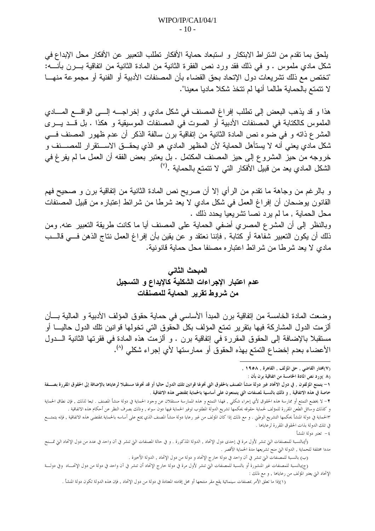يلحق بما نقدم من اشتراط الابتكار و استبعاد حماية الأفكار تطلب التعبير عن الأفكار محل الإبداع في شكل مادي ملموس . و في ذلك فقد ورد نص الفقرة الثانية من المادة الثانية من انفاقية بــــرن بأنـــــه: "تختص مع ذلك تشريعات دول الإتحاد بحق القضاء بأن المصنفات الأدبية أو الفنية أو مجموعة منهـــا لا نتمتع بالحماية طالما أنها لم نتخذ شكلا ماديا معينا".

هذا و قد يذهب البعض إلى نطلب إفراغ المصنف في شكل مادي و إخراجــــه إلــــي الواقــــع المــــادي الملموس كالكتابة في المصنفات الأدبية أو الصوت في المصنفات الموسيقية و هكذا . بل قــد يــرى المشرع ذاته و في ضوء نص المادة الثانية من إتفاقية برن سالفة الذكر أن عدم ظهور المصنف في شكل مادي يعني أنه لا يستأهل الحماية لأن المظهر المادي هو الذي يحقـــق الاســــتقرار للمصــــنف و خروجه من حيز المشروع إلى حيز المصنف المكتمل . بل يعتبر بعض الفقه أن العمل ما لم يفرغ في الشكل المادي يعد من قبيل الأفكار التي لا تتمتع بالحماية .(``)

و بالرغم من وجاهة ما نقدم من الرأي إلا أن صريح نص المادة الثانية من إتفاقية برن و صحيح فهم القانون يوضحان أن إفراغ العمل في شكل مادي لا يعد شرطا من شرائط إعتباره من قبيل المصنفات محل الحماية , ما لم يرد نصا تشريعيا يحدد ذلك . وبالنظر إلى أن المشرع المصرى أضفى الحماية على المصنف أيا ما كانت طريقة التعبير عنه, ومن

ذلك أن يكون النعبير شفاهة أو كتابة , فإننا نعتقد و عن يقين بأن إفراغ العمل نتاج الذهن فــي قالــب مادي لا يعد شرطا من شرائط اعتباره مصنفا محل حماية قانونية.

# المبحث الثاني عدم اعتبار الإجراءات الشكلية كالإيداع و التسجيل من شروط تقرير الحماية للمصنفات

وضعت المادة الخامسة من إتفاقية برن المبدأ الأساسي في حماية حقوق المؤلف الأدبية و المالية بــأن ألزمت الدول المشاركة فيها بتقرير تمتع المؤلف بكل الحقوق التي تخولها قوانين تلك الدول حاليـــا أو مستقبلا بالإضافة إلى الحقوق المقررة في إتفاقية برن . و ألزمت هذه المادة في فقرتها الثانية الـــدول الأعضاء بعدم إخضاع التمتع بهذه الحقوق أو ممارستها لأي إجراء شكلي (^).

(٨ )ورد نص المادة الخامسة من اتفاقية برن بأن :

٤– تعتبر دولة المنشأ

<sup>(</sup>٧)مختار القاضي , حق المؤلف , القاهرة , ١٩٥٨ ,

١- يتمتع المؤلفون , في دول الاتحاد غير دولة منشأ المصنف بالحقوق التي تخولها قوانين تلك الدول حاليا في تمتيح المستقبلا لرعاياها بالإضافة إلى الحقوق المقررة بصـــفة خاصة في هذه الاتفاقية , و ذلك بالنسبة لمصنفات التي يتمتعون على أساسها بالحماية بمقتضى هذه الاتفاقية .

٢– لا يخضع التمتع أو ممارسة هذه الحقوق لأي إجراء شكلبي , فهذا التمتع و هذه الممارسة مستقلات عن ولته من الم المصنف . تبعا لذلك , فإن نطاق الحماية و كذلك وسائل الطعن المقررة للمؤلف لحماية حقوقه يحكمها تشريع الدولة المطلوب توفير الحماية فيها دون سواه , وذلك بصرف النظر عن أحكام هذه الاتفاقية .

٣الحماية في دولة المنشأ يحكمها التشريع الوطني . و مع ذلك إذا كان المؤلف من غير رعايا دولة منشأ المصنف على العاسم بالحماية بمقتضى هذه الاتفاقية , فإنه يتمتسع في تلك الدولة بذات الحقوق المقررة لرعاياها .

<sup>(</sup>أ)بالنسبة للمصنفات التي تنشر لأول مرة في إحدى دول الإتحاد , الدولة المذكورة . و في حالة المصنفات التي تنشر في آن واحد في عدد من دول الإتحاد التي تمـــنح مددا مختلفة للحماية , الدولة التي منح تشريعها مدة الحماية الأقصر .

<sup>(</sup>ب) بالنسبة للمصنفات التي تنشر في آن واحد في دولة خارج الإتحاد و دولة من دول الإتحاد , الدولة الأخيرة .

<sup>(</sup>ج)بالنسبة للمصنفات غير المنشورة أو بالنسبة للمصنفات التي تنشر لأول مرة في دولة خارج الإتحاد أن تنشر في آن واحد في دولة من دول الإتحـــاد وفي دولـــة الإتحاد التي يعتبر المؤلف من رعاياها , و مع ذلك :

<sup>(</sup>١)إذا ما تعلق الأمر بمصنفات سينمائية يقع مقر منتجها أو محل إقامته المعتادة في دولة من دول الإتحاد , فإن هذه الدولة تكون دولة المنشأ .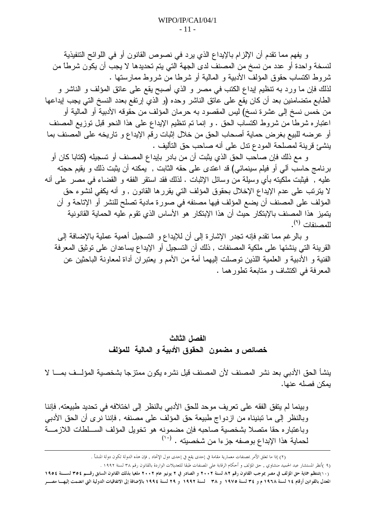و يفهم مما تقدم أن الإلزام بالإيداع الذي يرد في نصوص القانون أو في اللوائح التنفيذية لنسخة واحدة أو عدد من نسخ من المصنف لدى الجهة التي يتم تحديدها لا يجب أن يكون شرطًا من شروط اكتساب حقوق المؤلف الأدبية و المالية أو شرطا من شروط ممارستها . لذلك فإن ما ورد به نتظيم إيداع الكتب في مصر و الذي أصبح يقع على عاتق المؤلف و الناشر و الطابع متضامنين بعد أن كان يقع على عاتق الناشر وحده (و الذي إرتفع بعدد النسخ التي يجب إيداعها من خمس نسخ إلى عشرة نسخ) ليس المقصود به حرمان المؤلف من حقوقه الأدبية أو المالية أو اعتباره شرطًا من شروط اكتساب الحق . و إنما نم نتظيم الإيداع على هذا النحو قبل نوزيع المصنف أو عرضه للبيع بغرض حماية أصحاب الحق من خلال إثبات رقم الإيداع و تاريخه على المصنف بما ينشئ قرينة لمصلحة المودع ندل على أنه صاحب حق التأليف .

و مع ذلك فإن صاحب الحق الذي يثبت أن من بادر بإيداع المصنف أو تسجيله (كتابا كان أو برنامج حاسب ألى أو فيلم سينمائي) قد اعتدى على حقه الثابت , يمكنه أن يثبت ذلك و يقيم حجته عليه , فيثبت ملكيته بأي وسيلة من وسائل الإثبات . لذلك فقد استقر الفقه و القضاء في مصر على أنه لا يترتب على عدم الإيداع الإخلال بحقوق المؤلف التي يقررها القانون , و أنه يكفي لنشوء حق المؤلف على المصنف أن يضع المؤلف فيها مصنفه في صورة مادية تصلح للنشر أو الإتاحة و أن يتميز هذا المصنف بالإبتكار حيث أن هذا الإبتكار هو الأساس الذي تقوم عليه الحماية القانونية للمصنفات <sup>(٩)</sup>.

و بالرغم مما نقدم فإنه نجدر الإشارة إلى أن للإيداع و التسجيل أهمية عملية بالإضافة إلى القرينة التي ينشئها على ملكية المصنفات , ذلك أن التسجيل أو الإيداع يساعدان على توثيق المعرفة الفنية و الأدبية و العلمية اللذين توصلت اليهما أمة من الأمم و يعتبران أداة لمعاونة الباحثين عن المعرفة في اكتشاف و متابعة تطور هما .

### الفصل الثالث خصائص و مضمون الحقوق الأدبية و المالية للمؤلف

ينشأ الحق الأدبي بعد نشر المصنف لأن المصنف قيل نشر ، يكون ممتز جا بشخصية المؤلَّــف بمــــا لا بمكن فصله عنها.

وبينما لم يتفق الفقه على تعريف موحد للحق الأدبي بالنظر إلى اختلافه في تحديد طبيعته, فإننا وبالنظر إلى ما تبنيناه من ازدواج طبيعة حق المؤلف على مصنفه , فإننا نرى أن الحق الأدبي وباعتباره حقا متصلا بشخصية صاحبه فإن مضمونه هو تخويل المؤلف الســلطات اللازمـــة لحماية هذا الإبداع بوصفه جزءا من شخصيته . <sup>(١٠</sup>٠)

<sup>(</sup>٢) إذا ما تعلق الأمر بمصنفات معمارية مقامة في إحدى يقع في إحدى دول الإتحاد , فإن هذه الدولة تكون دولة المنشأ .

<sup>(</sup>٩ )أنظر المستشار عبد الحميد منشاوي , حق المؤلف و أحكام الرقابة على المصنفات طبقا للتعديلات الواردة بالقانون رقم ٣٨ لسنة ١٩٩٢ .

<sup>(</sup>١٠)تنتظم حماية حق المؤلف في مصر بموجب القانون رقم ٨٢ لسنة ٢٠٠٢ و الصادر في ٢ يونيو عام ٢٠٠٢ ملغيا بذلك القانون السابق رقـــم ٣٥٤ لســـنة ١٩٥٤ المعدل بالقوانين أرقام 1٤ لسنة ١٩٦٨ م و ٣٤ لسنة ١٩٧٥ و ٣٨ لسنة ١٩٩٢ و ٢٩ لسنة ١٩٩٤ بالإضافة إلى الاتفاقيات الدولية التي انضمت إليهسا مصـــر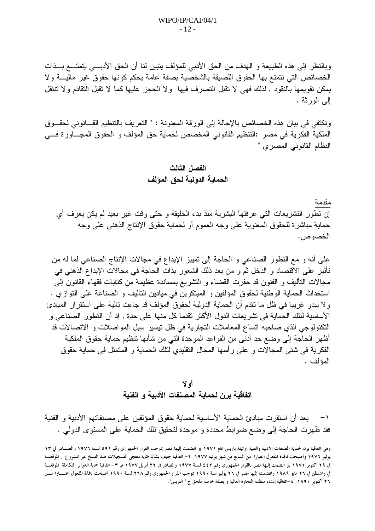وبالنظر إلى هذه الطبيعة و الهدف من الحق الأدبي للمؤلف يتبين لنا أن الحق الأدبـــي يتمتـــع بـــذات الخصائص التي نتمتع بها الحقوق اللصيقة بالشخصية بصفة عامة بحكم كونها حقوق غير ماليـــة ولا يمكن نقويمها بالنقود , لذلك فهي لا نقبل التصرف فيها ولا الحجز عليها كما لا نقبل النقادم ولا نتنقل البي الورثة .

ونكتفي في بيان هذه الخصائص بالإحالة إلى الورقة المعنونة : " النعريف بالتنظيم القـــانوني لحقـــوق الملكية الفكرية في مصر :النتظيم القانوني المخصص لحماية حق المؤلف و الحقوق المجـــاورة فـــي النظام القانوني المصري "

الفصل الثالث الحماية الدولية لحق المؤلف

مقدمة إن نطور النشريعات التي عرفتها البشرية منذ بدء الخليقة و حتى وقت غير بعيد لم يكن يعرف أي حماية مباشرة للحقوق المعنوية على وجه العموم أو لحماية حقوق الإنتاج الذهنبي على وجه الخصوص.

على أنه و مع النطور الصناعي و الحاجة إلى نمييز الإبداع في مجالات الإنتاج الصناعي لما له من تأثير على الاقتصاد و الدخل ثم و من بعد ذلك الشعور بذات الحاجة في مجالات الإبداع الذهني في مجالات النَّاليف و الفنون قد حفزت القضاء و النَّشريع بمساندة عظيمة من كتابات فقهاء القانون إلى استحداث الحماية الوطنية لحقوق المؤلفين و المبتكرين في ميادين التأليف و الصناعة على التوازي . ولا يبدو غريبا في ظل ما نقدم أن الحماية الدولية لحقوق المؤلف قد جاءت تالية على استقرار المبادئ الأساسية لتلك الحماية في تشريعات الدول الأكثر نقدما كل منها على حدة , إذ أن النطور الصناعي و النكنولوجي الذي صاحبه انساع المعاملات النجارية في ظل نيسير سبل المواصلات و الاتصالات قد أظهر الحاجة إلى وضع حد أدنى من القواعد الموحدة التي من شأنها نتظيم حماية حقوق الملكية الفكرية في شتى المجالات و على رأسها المجال النقليدي لنلك الحماية و المتمثل في حماية حقوق المؤلف .

أه لا اتفاقية برن لحماية المصنفات الأدبية و الفنية

بعد أن استقر ت مبادئ الحماية الأساسية لحماية حقوق المؤلفين على مصنفاتهم الأدبية و الفنية  $-1$ فقد ظهرت الحاجة إلى وضع ضوابط محددة و موحدة لتحقيق تلك الحماية على المستوى الدولمي .

وهي:اتفاقية برن:لحماية المصنفات الأدبية والفنية (وثيقة باريس عام ١٩٧١ )و انضمت إليها مصر بموجب القرار الجمهوري رقم ٥٩١ لسنة ١٩٧٦ والصـــادر في ١٣ يوليو ١٩٧٦ وأصبحت نافذة المفعول اعتبارا من السابع من شهر يونيه ١٩٧٧. ٢– اتفاقية جنيف:بشأن حماية منتجي التسجيلات ضد النسخ غير المشروع , الموقعــة في ٢٩ أكتوبر ١٩٧١ ,و انضمت إليها مصر بالقرار الجمهوري رقم ٤٤٢ لسنة ١٩٧٧ والصادر في ٢٢ أبريل ١٩٧٧ م. ٣– اتفاقية حماية الدوائر المتكاملة الموقعـــة في واشنطن في ٢٦ مايو ١٩٨٩ وانضمت إليها مصر في ٢٦ يوليو سنة ١٩٩٠ بموجب القرار الجمهوري رقم ٢٦٨ لسنة ١٩٩٠ أصبحت نافذة المفعول اعتبـــارا مــــن ٢٦ أكتوبر ١٩٩٠. ٤-اتفاقية إنشاء منظمة التجارة العالمية و بصفة خاصة ملحق ج " التربس".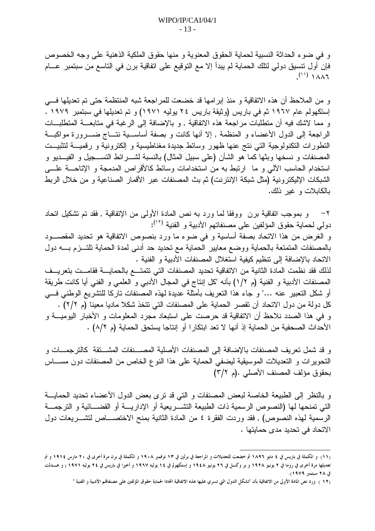و في ضوء الحداثة النسبية لحماية الحقوق المعنوية و منها حقوق الملكية الذهنية على وجه الخصوص فإن أول نتسيق دولي لنلك الحماية لم يبدأ إلا مع التوقيع على اتفاقية برن في التاسع من سبتمبر عـــام  $(1)$   $\lambda \lambda 1$ 

و من الملاحظ أن هذه الاتفاقية و منذ إبرامها قد خضعت للمراجعة شبه المنتظمة حتى تم تعديلها فـــي إستكهولم عام ١٩٦٧ ثم في باريس (وثيقة باريس ٢٤ يوليه ١٩٧١) و تم تعديلها في سبتمبر ١٩٧٩ . و مما لاشك فيه أن منطلبات مراجعة هذه الاتفاقية , و بالإضافة إلى الرغبة في متابعـــة المنطلبـــات الراجعة إلى الدول الأعضاء و المنظمة , إلا أنها كانت و بصفة أساســية نتــاج ضـــرور ة مواكبـــة النطورات النكنولوجية التي نتج عنها ظهور وسائط جديدة مغناطيسية و الكترونية و رقميـــة لتثبيــت المصنفات و نسخها وبثها كما هو الشأن (على سبيل المثال) بالنسبة لشــــرائط النســــجيل و الفيـــديو و استخدام الحاسب الألبي و ما ارتبط به من استخدامات وسائط كالأقراص المدمجة و الإتاحـــة علــــي الشبكات الإليكترونية (مثل شبكة الإنترنت) ثم بث المصنفات عبر الأقمار الصناعية و من خلال الربط بالكابلات و غبر ذلك.

٢− و بموجب انفاقية برن ووفقا لما ورد به نص المادة الأولى من الإنفاقية , فقد تم تشكيل اتحاد دولي لحماية حقوق المؤلفين على مصنفاتهم الأدبية و الفنية (١٢): و الغرض من هذا الاتحاد بصفة أساسية و في ضوء ما ورد بنصوص الاتفاقية هو تحديد المقصـــود بالمصنفات المتمتعة بالحماية ووضع معايير الحماية مع تحديد حد أدنى لمدة الحماية تلتــزم بـــه دول الاتحاد بالإضافة إلى نتظيم كيفية استغلال المصنفات الأدبية و الفنية . لذلك فقد نظمت المادة الثانية من الاتفاقية تحديد المصنفات التي تتمتـــع بالحمايـــة فقامــت بتعريــف المصنفات الأدبية و الفنية (م ٢/٢) بأنه "كل إنتاج في المجال الأدبي و العلمي و الفني أيا كانت طريقة أو شكل التعبير عنه …" و جاء هذا التعريف بأمثلة عديدة لهذه المصنفات تاركا للتشريع الوطني فسي كل دولة من دول الاتحاد أن نقصر الحماية على المصنفات التي نتخذ شكلا ماديا معينا (م ٢/٢) . و في هذا الصدد نلاحظ أن الاتفاقية قد حرصت على استبعاد مجرد المعلومات و الأخبار اليوميـــة و الأحداث الصحفية من الحماية إذ أنها لا تعد ابتكار ا أو إنتاجا يستحق الحماية (م ٨/٢) .

و قد شمل نعريف المصنفات بالإضافة إلى المصنفات الأصلية المصـــنفات المشـــتقة كالترجمـــات و التحوير ات و التعديلات الموسيقية ليضفى الحماية على هذا النوع الخاص من المصنفات دون مســــاس بحقوق مؤلف المصنف الأصلي .(م ٣/٢)

و بالنظر إلى الطبيعة الخاصة لبعض المصنفات و التي قد نرى بعض الدول الأعضاء تحديد الحمايـــة التي تمنحها لها (النصوص الرسمية ذات الطبيعة التشـــريعية أو الإداريــــة أو القضــــائية و الترجمـــة الرسمية لهذه النصوص) , فقد وردت الفقرة ٤ من المادة الثانية بمنح الاختصـــاص لتشـــريعات دول الاتحاد في تحديد مدى حمايتها .

<sup>(</sup>١١) و المكملة في باريس في ٤ مايو ١٨٩٦ ثم خضعت للتعديلات و المراجعة في برلين في ١٣ نوفمبر ١٩٠٨ و المكملة في برن مرة أخرى في ٢٠ مارس ١٩١٤ و تم تعديلها مرة أخرى في روما في ٢ يونيو ١٩٢٨ و بر وكسل في ٢٦ يونيو ١٩٤٨ و إستكهولم في ١٤ يوليه ١٩٦٧ و أخيرا في باريس في ٢٤ يوليه ١٩٧١ ( و عــــدلت في ٢٨ سبتمبر ١٩٧٩).

<sup>(</sup>١٢ ) ورد نص المادة الأولى من الاتفاقية بأن "تشكل الدول التي تسري عليها هذه الاتفاقية اتحادا لحماية حقوق المؤلفين على مصنفاقم الأدبية و الفنية "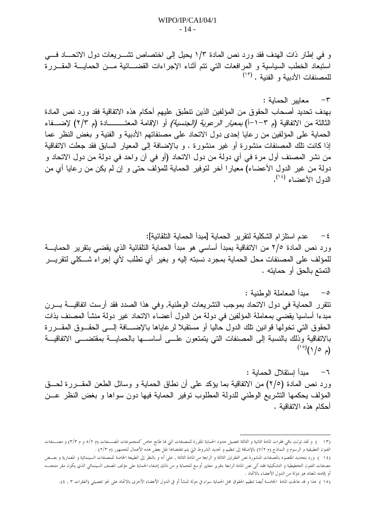و في إطار ذات الهدف فقد ورد نص المادة ١/٣ بحيل إلى اختصاص تشـــريعات دول الاتحـــاد فـــي استبعاد الخطب السياسية و المرافعات التي نتم أنثاء الإجراءات القضـــائية مـــن الحمايــــة المقـــررة للمصنفات الأدببة و الفنبة . (١٢)

٣– معابير الحماية : بهدف تحديد أصحاب الحقوق من المؤلفين الذين نتطبق عليهم أحكام هذه الاتفاقية فقد ورد نص المادة الثالثة من الاتفاقية (م ٣–١-أ) *بمعيار الرعوية (الجنسية)* أو الإقامة المعتــــــــادة (م ٢/٣) لإضــــفاء الحماية على المؤلفين من رعايا إحدى دول الاتحاد على مصنفاتهم الأدبية و الفنية و بغض النظر عما

إذا كانت نلك المصنفات منشورة أو غير منشورة . و بالإضافة إلى المعيار السابق فقد جعلت الاتفاقية من نشر المصنف أول مرة في أي دولة من دول الاتحاد (أو في آن واحد في دولة من دول الاتحاد و دولة من غير الدول الأعضاء) معيارا أخر لنوفير الحماية للمؤلف حتى و إن لم يكن من رعايا أي من الدول الأعضاء <sup>(١٤</sup>).

عدم استلزام الشكلية لتقرير الحماية [مبدأ الحماية التلقائية]:  $-\epsilon$ ورد نص المادة ٢/٥ من الاتفاقية بمبدأ أساسي هو مبدأ الحماية التلقائية الذي يقضي بتقرير الحمايـــة للمؤلف على المصنفات محل الحماية بمجرد نسبته إليه و بغير أي نطلب لأي إجراء شـــكلي لنقريـــر النَّمتع بالحق أو حمايته .

ميداً المعاملة الوطنبة :  $-\circ$ تتقرر الحماية في دول الاتحاد بموجب التشريعات الوطنية, وفي هذا الصدد فقد أرست اتفاقيـــة بـــرن مبدءا أساسيا يقضي بمعاملة المؤلفين في دولة من الدول أعضاء الاتحاد غير دولة منشأ المصنف بذات الحقوق التبي نخولها قوانين نلك الدول حاليا أو مستقبلا لرعاياها بالإضـــافة إلـــي الحقــوق المقـــررة بالاتفاقية وذلك بالنسبة إلىي المصنفات التبي يتمتعون علسى أساســـها بالحمايـــة بمقتضــــي الاتفاقيـــة  $(2^{\circ})^{(\circ)}$ 

مبدأ إستقلال الحماية :  $-7$ ورد نص المادة (٢/٥) من الاتفاقية بما يؤكد على أن نطاق الحماية و وسائل الطعن المقـــررة لـحـــق المؤلف بحكمها النشريع الوطنبي للدولة المطلوب نوفير الحماية فيها دون سواها و بغض النظر عـــن أحكام هذه الاتفاقية .

<sup>(</sup>١٣ ) و لقد تولت باقي فقرات المادة الثالثة و الثالثة تفصيل حدود الحماية المقررة للمصنفات التي لها طابع خاص كمحموعات المصــنفات (م ٢/٢ و ٣/٣) و مصــنفات الفنون التطبيقية و الرسوم و النماذج (م ٧/٢) بالإضافة إلى تنظيم و تحديد الشروط التي يتم بمقتضاها نقل بعض هذه الأعمال للحمهور (م ٢/٣) .

<sup>(</sup>١٤ ) ورد بتحديد المقصود بالمصنفات المنشورة نص الفقرتين الثالثة و الرابعة مراشل المعالم المعالي العلميعة الخاصة للمصنفات السينمائية و المعمارية و بعسض مصنفات الفنون التخطيطية و التشكيلية فقد أتى نص المادة الرابعة بتقرير معايير أوسع للحماية على الحماية على مؤلف المصنف السينمائي الذي يكون مقر منتحب أو إقامته المعتاد هو دولة من الدول الأعضاء بالاتحاد .

<sup>(</sup>١٥ ) هذا و قد عالجت المادة الخامسة أيضا تنظيم الحقوق محل الحماية سواء في دولة المنشأ أو في اللاعواء الأحرى بالاتحاد على نحو تفصيلي (الفقرات ٣ , ٤).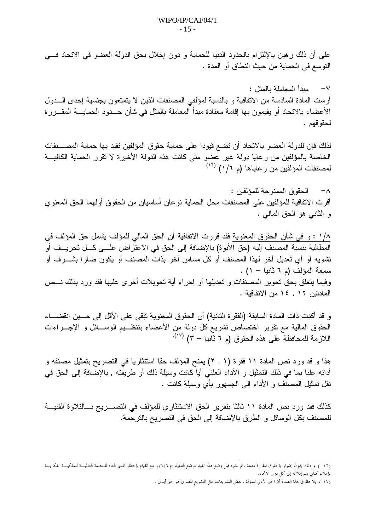على أن ذلك ر هين بالإلتزام بالحدود الدنيا للحماية و دون إخلال بحق الدولة العضو في الاتحاد فـــي النوسع في الحماية من حيث النطاق أو المدة .

V- مداً المعاملة بالمثل : أرست المادة السادسة من الاتفاقية و بالنسبة لمؤلفي المصنفات الذين لا يتمتعون بجنسية إحدى الـــدول الأعضاء بالاتحاد أو يقيمون بها إقامة معتادة مبدأ المعاملة بالمثل في شأن حـــدود الحمايــــة المقـــررة لحقو قهم .

لذلك فإن للدولة العضو بالاتحاد أن تضع قيودا على حماية حقوق المؤلفين تقيد بها حماية المصـــنفات الخاصة بالمؤلفين من رعايا دولة غير عضو متى كانت هذه الدولة الأخيرة لا تقرر الحماية الكافيـــة لمصنفات المؤلفين من رعاياها (م ١/١) (تن)

٨– الحقو ق الممنو حة للمؤ لفين : أقرت الاتفاقية للمؤلفين على المصنفات محل الحماية نوعان أساسيان من الحقوق أولهما الحق المعنوي و الثانبي هو الحق المالبي .

١/٨ : و في شأن الحقوق المعنوية فقد قررت الاتفاقية أن الحق المالي للمؤلف يشمل حق المؤلف في المطالبة بنسبة المصنف إليه (حق الأبوة) بالإضافة إلى الحق في الاعتراض علـــي كـــل تحريـــف أو تشويه أو أي تعديل آخر لهذا المصنف أو كل مساس أخر بذات المصنف أو يكون ضارا بشـــرف أو سمعة المؤلف (م ٦ ثانيا - ١). وفيما بتعلق بحق نحوير المصنفات و تعديلها أو إجراء أية نحويلات أخرى عليها فقد ورد بذلك نـــص المادتين ١٢ , ١٤ من الاتفاقية .

و قد أكدت ذات المادة السابقة (الفقر ة الثانية) أن الحقوق المعنوية تبقى على الأقل إلى حـــين انقضــــاء الحقوق المالية مع نقرير اختصاص نتثىريع كل دولة من الأعضاء بنتظــيم الوســـائل و الإجـــراءات اللازمة للمحافظة على هذه الحقوق (م ٦ ثَانيا – ٣) (١٧)

هذا و قد ورد نص المادة ١١ فقرة (١ , ٢) يمنح المؤلف حقا استئثاريا في النصريح بتمثيل مصنفه و أدائه علنا بما في ذلك التمثيل و الأداء العلني أيا كانت وسيلة ذلك أو طريقته , بالإضافة إلى الحق في نقل تمثيل المصنف و الأداء إلى الجمهور بأى وسيلة كانت .

كذلك فقد ورد نص المادة ١١ ثالثا بتقرير الحق الاستئثاري للمؤلف في التصـــريح بـــالتلاوة الفنيـــة للمصنف بكل الوسائل و الطرق بالإضافة إلى الحق في التصريح بالترجمة.

<sup>(</sup>١٦ ) و ذلك بدون إضرار بالحقوق المقررة لمصنف تم نشره قبل وضع هذا القيد موضع التنفيذ (م ٢/٦) و مع القيام بإحطار المدير العام للمنظمة العالميـــة للملكيـــة الفكريـــة بإعلان كتابي يتم إبلاغه إلى كل دول الاتحاد.

<sup>(</sup>١٧ ) يلاحظ في هذا الصدد أن الحق الأدبي للمؤلف بعض التشريعات مثل التشريع المصري هو حق أبدي .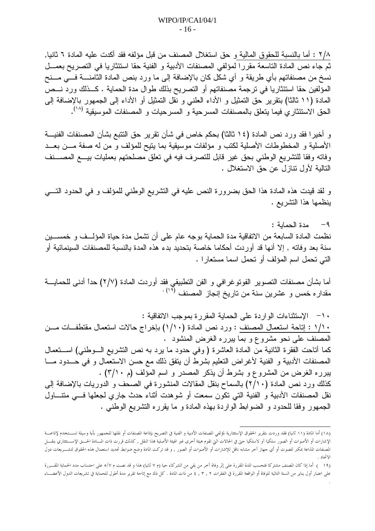٢/٨ : أما بالنسبة للحقوق المالية و حق استغلال المصنف من قبل مؤلفه فقد أكدت عليه المادة ٦ ثانيا, ثم جاء نص المادة التاسعة مقررًا لمؤلفي المصنفات الأدبية و الفنية حقا استئثاريا في التصريح بعمــل نسخ من مصنفاتهم بأي طريقة و أي شكل كان بالإضافة إلى ما ورد بنص المادة الثامنــــة فــــى مـــنح المؤلفين حقا استئثاريا في ترجمة مصنفاتهم أو التصريح بذلك طوال مدة الحماية . كــذلك ورد نـــص المادة (١١ ثالثًا) بنقرير حق التمثيل و الأداء العلني و نقل التمثيل أو الأداء إلى الجمهور بالإضافة إلى الحق الاستئثاري فيما يتعلق بالمصنفات المسرحية و المسرحيات و المصنفات الموسيقية (^').

و أخيرا فقد ورد نص المادة (١٤ ثالثا) بحكم خاص في شأن تقرير حق النتبع بشأن المصنفات الفنيـــة الأصلية و المخطوطات الأصلية لكتب و مؤلفات موسيقية بما يتيح للمؤلف و من له صفة مـــن بعـــد وفاته وفقا للنشريع الوطني بحق غير قابل للنصرف فيه في تعلق مصلحتهم بعمليات بيـــع المصــــنف التالية لأول نتاز ل عن حق الاستغلال .

و لقد قيدت هذه المادة هذا الحق بضرورة النص عليه في النشريع الوطني للمؤلف و في الحدود النسي بنظمها هذا التشريع .

٩- مدة الحماية : نظمت المادة السابعة من الاتفاقية مدة الحماية بوجه عام على أن نشمل مدة حياة المؤلــف و خمســـين سنة بعد وفاته , إلا أنها قد أوردت أحكاما خاصة بتحديد بدء هذه المدة بالنسبة للمصنفات السينمائية أو التي تحمل اسم المؤلف أو تحمل اسما مستعار ا .

أما بشأن مصنفات النصوير الفونوغرافي و الفن النطبيقي فقد أوردت المادة (٢/٧) حداً أدنى للحمايـــة مقداره خمس و عشرين سنة من تاريخ إنجاز المصنف <sup>(۱۹) .</sup>

١٠ - الإستثناءات الواردة على الحماية المقرر ة بموجب الاتفاقية : ١/١٠ : إناحة استعمال المصنف : ورد نص المادة (١/١٠) بإخراج حالات استعمال مقتطفات مـــن المصنف على نحو مشروع و بما يبرره الغرض المنشود . كما أناحت الفقرة الثانية من المادة العاشرة (وفي حدود ما يرد به نص النشريع الـــوطنـي) اســـنعمال المصنفات الأدبية و الفنية لأغراض التعليم بشرط أن يتفق ذلك مع حسن الاستعمال و في حـــدود مـــا يبرره الغرض من المشروع و بشرط أن يذكر المصدر و اسم المؤلف (م ٣/١٠) . كذلك ورد نص المادة (٢/١٠) بالسماح بنقل المقالات المنشورة في الصحف و الدوريات بالإضافة إلى نقل المصنفات الأدبية و الفنية التي تكون سمعت أو شوهدت أثناء حدث جارى لجعلها فسي منتـــاول الجمهور وفقا للحدود و الضوابط الواردة بهذه المادة و ما يقرره النشريع الوطنبي .

<sup>(</sup>١٨) أما المادة (١١ ثانيا) فقد وردت بتقرير الحقوق الإستثنارية لمؤلفي الدعائري الذي الت التعاشف التعامل العلم المحمهور بأية وسيلة تسستخدم لإذاعت الإشارات أو الأصوات أو الصور سلكيا آو لاسلكيا حتى في الحالات التي تقوم هيئة أخرى غير الهيئة للمالفق الخذان قررت ذات المسادة الحسق الإسستثثاري بنقسل المصنفات المذاعة بمكبر للصوت أو أي جهاز آخر مشابه ناقل للإشارات أو الأصوات أو الصور , و قد تركت المادة وضع ضوابط تحديد استعمال هذه الحقوق لتشـــريعات دول الاتحاد

<sup>(</sup>١٩ \_ ) أما إذا كان المصنف مشتركا فتحسب المدة المقررة على إثر وفاة آخر من بقي من الشركاء حيا (م ٧ ثانيا) هذا و قد نصت م ٧/٥ على احتساب مدد الحماية المقسررة على اعتبار أول يناير من السنة التالية للوفاة أو الواقعة المقررة في الفقرات ٢ , ٣ , ٢ من ذات مع إتاحة تقرير مدة أطول للحماية في تشريعات الدول الأعضـــاء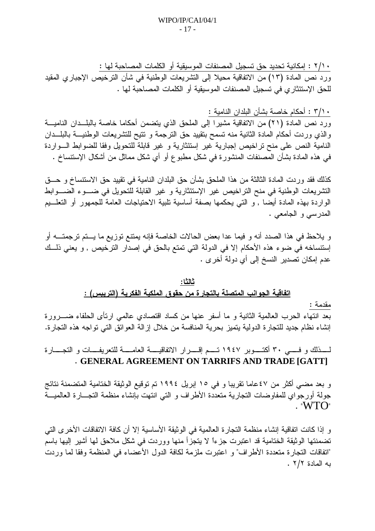· ٢/١ : إمكانية تحديد حق تسجيل المصنفات الموسيقية أو الكلمات المصـاحبة لـها : ورد نص المادة (١٣) من الاتفاقية محيلا إلى النشريعات الوطنية في شأن الترخيص الإجباري المقيد للحق الإستئثاري في تسجيل المصنفات الموسيقية أو الكلمات المصاحبة لها .

. ٣/١ : أحكام خاصة بشأن البلدان النامية :

ورد نص المادة (٢١) من الاتفاقية مشيرًا إلى الملحق الذي يتضمن أحكاما خاصة بالبلــدان الناميـــة والذي وردت أحكام المادة الثانية منه تسمح بتقييد حق الترجمة و تتيح للتشريعات الوطنيـــة بالبلـــدان النامية النص على منح نراخيص إجبارية غير إستئثارية و غير قابلة للتحويل وفقا للضوابط الـواردة في هذه المادة بشأن المصنفات المنشورة في شكل مطبوع أو أي شكل مماثل من أشكال الإستنساخ .

كذلك فقد وردت الممادة الثالثة من هذا الملحق بشأن حق البلدان النامية في تقييد حق الاستنساخ و حـــق التشريعات الوطنية في منح التراخيص غير الإستئثارية و غير القابلة للتحويل في ضـــوء الضـــوابط الواردة بهذه المادة أيضـا , و النبي يـحكمها بصـفة أساسية تلبية الاحتياجات العامة للجمهور أو التعلـــيم المدرسي و الجامعي .

و يلاحظ في هذا الصدد أنه و فيما عدا بعض الحالات الخاصة فإنه يمتنع توزيع ما يـــتم ترجمتــــه أو إستتساخه في ضوء هذه الأحكام إلا في الدولة التي تمتع بالحق في إصدار الترخيص , و يعني ذلــك عدم إمكان تصدير النسخ إلى أي دولة أخرى .

### ثالثًا:

### <u>اتفاقية الجوانب المتصلة بالتجارة من حقوق الملكية الفكرية (التريبس) :</u>

مقدمة :

بعد انتهاء الحرب العالمية الثانية و ما أسفر عنها من كساد اقتصادى عالمي ارتأى الحلفاء ضــــرورة إنشاء نظام جديد للتجارة الدولية يتميز بحرية المنافسة من خلال إزالة العوائق التي تواجه هذه التجارة.

لمسذلك و فسـى ٣٠ أكتـــوبر ١٩٤٧ تـــم إقــــرار الاتفاقيــــة العامــــة للتعريفــــات و التجــــارة . GENERAL AGREEMENT ON TARRIFS AND TRADE [GATT]

و بعد مضىي أكثر من ٤٧عاما تقريبا و في ١٥ إبريل ١٩٩٤ تم توقيع الوثيقة الختامية المتضمنة نتائج جولة أورجواي للمفاوضات النجارية متعددة الأطراف و التي انتهت بإنشاء منظمة التجـــارة العالميـــة  $\cdot$  "WTO"

و إذا كانت اتفاقية إنشاء منظمة النجارة العالمية في الوثيقة الأساسية إلا أن كافة الاتفاقات الأخرى التي تضمنتها الوثيقة الختامية قد اعتبرت جزءًا لا يتجزأ منها ووردت في شكل ملاحق لمها أشير إليها باسم "اتفاقات التجارة متعددة الأطراف" و اعتبرت ملزمة لكافة الدول الأعضاء في المنظمة وفقا لما وردت به المادة ٢/٢ .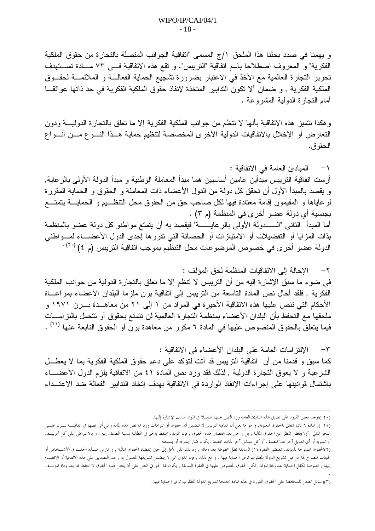و يهمنا في صدد بحثنا هذا الملحق ١/ج المسمى "اتفاقية الجوانب المتصلة بالتجارة من حقوق الملكية الفكرية" و المعروف اصطلاحا باسم انفاقية "النريبس". و نقع هذه الانفاقية فسي ٧٣ مــادة نســـتهدف تحرير النجارة العالمية مع الأخذ في الاعتبار بضرورة تشجيع الحماية الفعالـــة و الملائمـــة لحقـــوق الملكية الفكرية , و ضمان ألا تكون التدابير المتخذة لإنفاذ حقوق الملكية الفكرية في حد ذاتها عوائقــا أمام النجارة الدولية المشروعة .

و هكذا تتميز هذه الاتفاقية بأنها لا نتظم من جوانب الملكية الفكرية إلا ما نعلق بالتجارة الدوليــــة ودون النعارض أو الإخلال بالاتفاقيات الدولية الأخرى المخصصة لنتظيم حماية هــذا النـــو ع مـــن أنـــواع الحقو ق.

٢ – الإحالة إلى الاتفاقيات المنظمة لحق المؤلف : في ضوء ما سبق الإشارة إليه من أن التريبس لا تنظم إلا ما نعلق بالتجارة الدولية من جوانب الملكية الفكرية , فلقد أحال نص المادة التاسعة من التريبس إلى اتفاقية برن ملزما البلدان الأعضاء بمراعـــاة الأحكام التي نتص عليها هذه الاتفاقية الأخيرة في المواد من ١ إلى ٢١ من معاهــدة بـــرن ١٩٧١ و ملحقها مع التحفظ بأن البلدان الأعضاء بمنظمة التجارة العالمية لن نتمتع بحقوق أو نتحمل بالتزامـــات فيما يتعلق بالحقوق المنصوص عليها في المادة ٦ مكرر من معاهدة برن أو الحقوق النابعة عنها (٢١) .

الإلتزامات العامة على البلدان الأعضاء في الاتفاقية :  $-\tau$ كما سبقٍ و قدمنا من أن اتفاقية التريبس قد أنت لنؤكد على دعم حقوق الملكية الفكرية بما لا يعطـــل الشرعية و لا يعوق النجارة الدولية , لذلك فقد ورد نص المادة ٤١ من الانفاقية بلزم الدول الأعضــــاء باشتمال قوانينها على إجراءات الإنفاذ الواردة في الاتفاقية بهدف إتخاذ التدابير الفعالة ضد الاعتــداء

<sup>(</sup>٢٠ )توجد بعض القيود على تطبيق هذه المبادئ العامة ورد النص عليها تفصيلا في المواد سالف الإشارة إليها.

<sup>(</sup>٢١ )و المادة ٦ ثانيا تتعلق بالحقوق المعنوية, و هو ما يعني أن اتفاقية التريس لا تتضمن أي حقوق أو الترامات ورد بما نص هذه المادة والتي أتى نصها في اتفاقيـــة بـــرن علــــي النحو التالي :"(١)بغض النظر عن الحقوق المالية , بل و حتى بعد انفصال هذه الحقوق , فإن الجونب المطالبة بنسبة المصنف إليه , و بالاعتراض على كل تحريــف أو تشويه أو أي تعديل آخر لهذا المصنف أو كل مساس آخر بذات المصنف يكون ضارا بشرفه أو بسمعته .

<sup>(</sup>٢)الحقوق الممنوحة للمؤلف بمقتضى الفقرة (١) السابقة تظل محفوظة بعد وفاته , وذ لك على الأقل إلى حين إنقضاء الحقوق المالية , و يمارس هـــذه الحقـــوق الأشـــخاص أو الهيئات المصرح لها من قبل تشريع الدولة المطلوب توفير الحماية فيها . و مع ذلك , فإن الدول التي تقريعها المعمول به , عند التصديق على هذه الاتفاقية أو الإنضمام إليها , نصوصا تكفل الحماية بعد وفاة المولف لكل الحقوق المنصوص عليها في الفقرة السابقة , يكون لها الحق على أن بعض هذه الحقوق لا يحتفظ بما بعد وفاة المولسف

<sup>(</sup>٣)وسائل الطعن للمحافظة على الحقوق المقررة في هذه المادة يحددها تشريع الدولة المطلوب توفير الحماية فيها .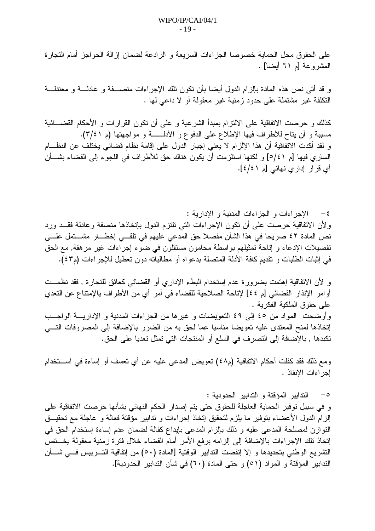على الحقوق محل الحماية خصوصا الجزاءات السريعة و الرادعة لضمان إزالة الحواجز أمام التجارة المشروعة [م ٦١ أيضا] .

و قد أتـى نص هذه المـادة بـإلزام الدول أيضـا بـأن نكون نلك الإجراءات منصــــفة و عادلــــة و معتدلـــة النكلفة غير مشتملة على حدود زمنية غير معقولة أو لا داعي لها .

كذلك و حرصت الاتفاقية على الالتزام بمبدأ الشرعية و على أن تكون القرارات و الأحكام القضــــائية مسببة و أن يتاح للأطراف فيها الإطلاع على الدفوع و الأدلــــــة و مواجهتها (م ٣/٤١). و لقد أكدت الاتفاقية أن هذا الإلزام لا يعني إجبار الدول على إقامة نظام قضائي يختلف عن النظـــام الساري فيها [م ٥/٤١] و لكنها استلزمت أن يكون هناك حق للأطراف في اللجوء إلى القضاء بشــــأن أي قرار إداري نهائي [م ٤/٤].

٤- الإجراءات و الجزاءات المدنية و الإدارية : ولأن الاتفاقية حرصت على أن نكون الإجراءات التي نلتزم الدول بإنخاذها منصفة وعادلة فقــد ورد نص المادة ٤٢ صريحا في هذا الشأن مفصلا حق المدعى عليهم في تلقـــي إخطـــار مشـــتمل علـــي نفصيلات الإدعاء و إناحة تمثيلهم بواسطة محامون مستقلون في ضوء إجراءات غير مرهقة, مع الحق في إثبات الطلبات و تقديم كافة الأدلة المتصلة بدعواه أو مطالباته دون تعطيل للإجراءات (م٤٣).

و لأن الاتفاقية إهتمت بضرورة عدم إستخدام البطء الإداري أو القضائيي كعائق للتجارة , فقد نظمــت أوامر الإنذار القضائي [م ٤٤] لإتاحة الصلاحية للقضاء في أمرٍ أي من الأطراف بالإمتناع عن التعدي على حقوق الملكية الفكر ية . وأوضحت المواد من ٤٥ إلى ٤٩ التعويضات و غيرها من الجزاءات المدنية و الإداريــــة الواجـــب إنخاذها لمنح المعتدى عليه تعويضا مناسبا عما لحق به من الضرر بالإضافة إلى المصروفات التسى تكبدها , بالإضافة إلى التصرف في السلع أو المنتجات التي تمثل تعديا على الحق.

ومع ذلك فقد كفلت أحكام الاتفاقية (م٤٨) تعويض المدعى عليه عن أي تعسف أو إساءة في اســـتخدام إجر اءات الإنفاذ .

0– الندابير المؤقتة و الندابير الحدودية :

و في سبيل توفير الحماية العاجلة للحقوق حتى يتم إصدار الحكم النهائي بشأنها حرصت الاتفاقية على إلزام الدول الأعضاء بتوفير ما يلزم لتحقيق إتخاذ إجراءات و ندابير مؤقتة فعالة و عاجلة مع تحقيــق النَّوازن لمصلحة المدعى عليه و ذلك بالزام المدعى بايداع كفالة لضمان عدم إساءة إستخدام الحقَّ في إنخاذ نلك الإجراءات بالإضافة إلىي إلزامه برفع الأمر أمام القضاء خلال فترة زمنية معقولة يخستص التشريع الوطني بتحديدها و إلا إنقضت التدابير الوقتية [المادة (٥٠) من إتفاقية التــــريبس فــــي شــــأن الندابير المؤقتة و المواد (٥١) و حتى المادة (٦٠) في شأن الندابير الحدودية].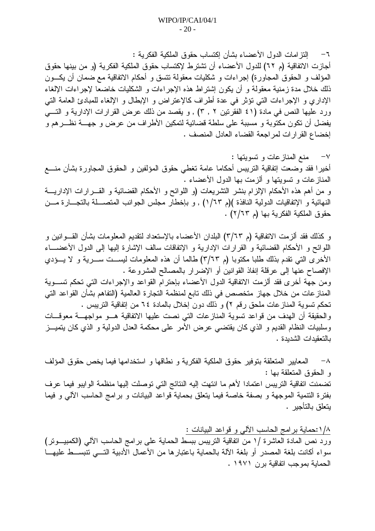٦– النتز امات الدول الأعضـاء بشأن إكتساب حقوق الملكية الفكرية : أجازت الاتفاقية (م ٦٢) للدول الأعضاء أن تشترط لإكتساب حقوق الملكية الفكرية (و من بينها حقوق المؤلف و الحقوق المجاورة) إجراءات و شكليات معقولة نتسق و أحكام الاتفاقية مع ضمان أن يكـــون ذلك خلال مدة زمنية معقولة و أن يكون إشتراط هذه الإجراءات و الشكليات خاضعا لإجراءات الإلغاء الإداري و الإجراءات التي نؤثر في عدة أطراف كالإعتراض و الإبطال و الإلغاء للمبادئ العامة التي ورد عليها النص في مادة (٤١ الفقرتين ٢ , ٣) , و يقصد من ذلك عرض القرارات الإدارية و التـــي يفضل أن تكون مكتوبة و مسببة على سلطة قضائية لتمكين الأطراف من عرض و جهـــة نظـــرهم و إخضاع القرارات لمراجعة القضاء العادل المنصف .

v− منع المنازعات و تسويتها : أخيرًا فقد وضعت إتفاقية التريبس أحكاما عامة تغطي حقوق المؤلفين و الحقوق المجاورة بشأن منــــع المنازعات و تسويتها و ألزمت بها الدول الأعضاء . و من أهم هذه الأحكام الإلزام بنشر النشريعات (و اللوائح و الأحكام القضائية و القــــرارات الإداريــــة النهائية و الإتفاقيات الدولية النافذة )(م ٦٣/١) , و بإخطار مجلس الجوانب المتصــــلة بالتجـــار ة مـــن حقوق الملكية الفكرية بها (م ٢/٦٣) .

و كذلك فقد ألزمت الاتفاقية (م ٣/٦٣) البلدان الأعضـاء بـالإستعداد لنقديم المعلومـات بشأن القــــوانين و اللوائح و الأحكام القضائية و القرارات الإدارية و الإتفاقات سالف الإشارة إليها إلى الدول الأعضــــاء الأخرى التي تقدم بذلك طلبا مكتوبا (م ٣/٦٣) طالما أن هذه المعلومات ليســـت ســــرية و لا يــــؤدي الإفصاح عنها إلى عرقلة إنفاذ القوانين أو الإضرار بالمصالح المشروعة . ومن جهة أخرى فقد ألزمت الاتفاقية الدول الأعضاء بإحترام القواعد والإجراءات التي تحكم تســـوية المناز عات من خلال جهاز متخصص في ذلك تابع لمنظمة التجارة العالمية (التفاهم بشأن القواعد التي تحكم تسوية المنازعات ملحق رقم ٢) و ذلك دون إخلال بالمادة ٢٤ من إتفاقية التريبس . والحقيقة أن الهدف من قواعد تسوية المنازعات التي نصت عليها الاتفاقية هـــو مواجهـــة معوقـــات وسلبيات النظام القديم و الذي كان يقتضـي عرض الأمر على محكمة العدل الدولية و الذي كان يتميـــز بالتعقيدات الشديدة .

^− المعايير المتعلقة بتوفير حقوق الملكية الفكرية و نطاقها و استخدامها فيما يخص حقوق المؤلف و الحقوق المتعلقة بـها : تضمنت اتفاقية التريبس اعتمادا لأهم ما انتهت إليه النتائج التي توصلت إليها منظمة الوايبو فيما عرف بفترة النتمية الموجهة و بصفة خاصة فيما يتعلق بحماية قواعد البيانات و برامج الحاسب الألي و فيما يتعلق بالتأجير .

١/٨:حماية برامج الحاسب الألبي و قواعد البيانات : ورد نص المادة العاشرة /١ من اتفاقية النريبس ببسط الحماية على بر امج الحاسب الألي (الكمبيــــونر) سواء أكانت بلغة المصدر أو بلغة الألة بالحماية باعتبارها من الأعمال الأدبية التـــي نتبســط عليهـــا الحماية بموجب اتفاقية برن ١٩٧١ .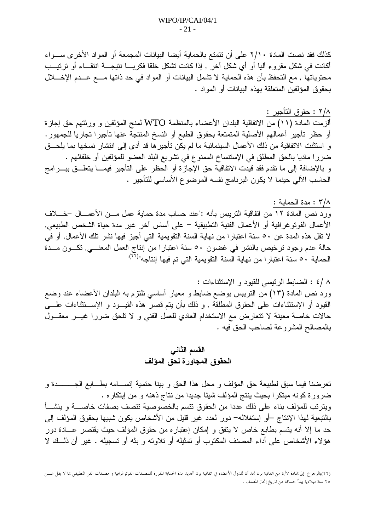كذلك فقد نصت المادة ٢/١٠ على أن نتمتع بالحماية أيضا البيانات المجمعة أو المواد الأخرى ســـواء أكانت في شكل مقروء آليا أو أي شكل آخر ٬ إذا كانت نشكل خلقا فكريــــا نتيجــــة انتقـــاء أو نرتيـــب محتوياتها , مع التحفظ بأن هذه الحماية لا نشمل البيانات أو المواد في حد ذاتها مـــع عــدم الإخــــلال بحقوق المؤلفين المتعلقة بهذه البيانات أو المواد .

### ٢/٨ : حقوق التأجير :

ألزمت المادة (١١) من الاتفاقية البلدان الأعضاء بالمنظمة WTO لمنح المؤلفين و ورثتهم حق إجازة أو حظر تأجير أعمالهم الأصلية المتمتعة بحقوق الطبع أو النسخ المنتجة عنها تأجيرا تجاريا للجمهور . و استثنت الاتفاقية من ذلك الأعمال السينمائية ما لم يكن تأجير ها قد أدى إلى انتشار نسخها بما يلحـــق ضررا ماديا بالحق المطلق في الإستتساخ الممنوع في تشريع البلد العضو للمؤلفين أو خلفائهم . و بالإضافة إلى ما نقدم فقد قيدت الاتفاقية حق الإجازة أو الحظر على التأجير فيمـــا يتعلـــق ببــــرامج الحاسب الألبي حينما لا يكون البرنامج نفسه الموضوع الأساسي للتأجير .

٣/٨ : مدة الحماية :

ورد نص المادة ١٢ من اتفاقية التريبس بأنه :"عند حساب مدة حماية عمل مـــن الأعمـــال –خــــلاف الأعمال الفوتو غرافية أو الأعمال الفنية التطبيقية – على أساس آخر غير مدة حياة الشخص الطبيعي, لا نقل هذه المدة عن ٥٠ سنة اعتبارا من نهاية السنة النقويمية التي أجيز فيها نشر نلك الأعمال, أو في حالة عدم وجود نرخيص بالنشر في غضون ٥٠ سنة اعتبارا من ًابنتاج العمل المعنـــي, تكـــون مـــدة<br>الحماية ٥٠ سنة اعتبارا من نهاية السنة النقويمية التي تم فيها اٍنتاجه"<sup>(٢٢).</sup>

٨ /٤ : الضابط الرئيسي للقيود و الإستثناءات : ورد نص المادة (١٣) من النريبس بوضع ضابط و معيار أساسي تلتزم به البلدان الأعضاء عند وضع القيود أو الإستثناءات على الحقوق المطلقة , و ذلك بأن يتم قصر هذه القيـــود و الإســـنتثناءات علــــى حالات خاصة معينة لا نتعارض مع الاستخدام العادي للعمل الفني و لا نلحق ضررًا غيـــر معقـــول بالمصالح المشروعة لصاحب الحق فيه .

## القسم الثاني الحقوق المجاورة لحق المؤلف

تعرضنا فيما سبق لطبيعة حق المؤلف و محل هذا الحق و بينا حتمية إنســـامه بطـــابـع الجـــــــــــدة و ضرورة كونه مبتكرا بحيث ينتج المؤلف شيئا جديدا من نتاج ذهنه و من إبتكار ه . ويترتب للمؤلف بناء على ذلك عددا من الحقوق نتسم بالخصوصية نتصف بصفات خاصسة و ينشسأ بالتبعية لهذا الإنتاج –أو إستغلاله– دور لعدد غير قليل من الأشخاص يكون شبيها بحقوق المؤلف إلى حد ما إلا أنه يتسم بطابع خاص لا يتفق و إمكان إعتباره من حقوق المؤلف حيث يقتصر عـــادة دور هؤلاء الأشخاص على أداء المصنف المكتوب أو تمثيله أو تلاوته و بثه أو تسجيله . غير أن ذلــك لا

<sup>(</sup>٢٢)بالرحوع إلى:المادة ٧/٧ من اتفاقية برن نجد أن للدول الأعضاء في اتفاقية برن تحديد مدة الحماية المقصنفات الفوتوغرافية و مصنفات الفن التطبيقي بما لا يقل عس ٢٥ سنة ميلادية يبدأ حساها من تاريخ إنجاز المصنف .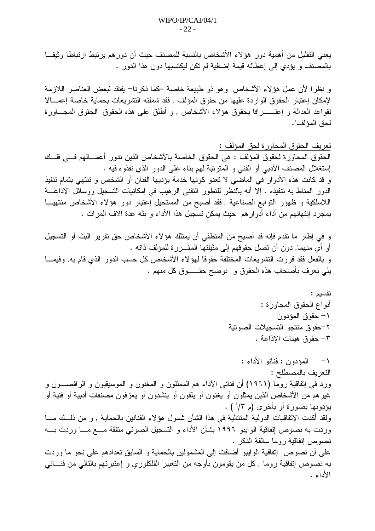يعني التقليل من أهمية دور هؤ لاء الأشخاص بالنسبة للمصنف حيث أن دور هم يرتبط ارتباطا وثيقـــا بالمصنف و يؤدي إلى إعطائه قيمة إضافية لم نكن ليكتسبها دون هذا الدور .

و نظر! لأن عمل هؤلاء الأشخاص وهو ذو طبيعة خاصة كما ذكرنا– يفتقد لبعض العناصر اللازمة لإمكان إعتبار الحقوق الواردة عليها من حقوق المؤلف , فقد شملته التشريعات بحماية خاصة إعمـــالا لقواعد العدالة و إعتــــــــرافا بـحقوق هؤلاء الأشخاص , و أطلق علمي هذه الحقوق "الـحقوق المجـــــاورة لحق المؤلف".

الحقوق المحاورة لحقوق المؤلف : هي الحقوق الخاصة بالأشخاص الذين تدور أعمـــالهم فـــي فلــك إستغلال المصنف الأدببي أو الفنبي و المنزنبة لمهم بناء على الدور الذي نفذوه فيه . و قد كانت هذه الأدوار في الماضي لا تعدو كونها خدمة بؤديها الفنان أو الشخص و نتنهى بتمام تنفيذ الدور المناط به نتفيذه . إلا أنه بالنظر للتطور النقني الرهيب في إمكانيات التسجيل ووسائل الإذاعـــة اللاسلكية و ظهور التوابع الصناعية , فقد أصبح من المستحيل إعتبار دور هؤلاء الأشخاص منتهيـــا بمجرد إنتهائهم من أداء أدوارهم حيث يمكن تسجيل هذا الأداء و بثه عدة ألاف المرات .

و في إطار ما نقدم فإنه قد أصبح من المنطقي أن يمتلك هؤلاء الأشخاص حق نقرير البث أو التسجيل أو أي منهما, دون أن تصل حقوقهم إلى مثيلتها المقـــررة للمؤلف ذاته . و بالفعل فقد قررت النشريعات المختلفة حقوقا لمهوً لاء الأشخاص كل حسب الدور الذي قام به, وفيمــا بلِّي نعرف بأصحاب هذه الحقوق و نوضح حقـــــوق كل منهم .

١– المؤدون : فنانو الأداء : التعريف بالمصطلح : ورد في إتفاقية روما (١٩٦١) أن فناني الأداء هم الممثلون و المغنون و الموسيقيون و الراقصـــون و غير هم من الأشخاص الذين يمثلون أو يغنون أو يلقون أو ينشدون أو يعزفون مصنفات أدبية أو فنية أو بؤدونها بصورة أو بأخرى (م ٣/أ ) . ولقد أكدت الإتفاقيات الدولية المتتالية في هذا الشأن شمول هؤ لاء الفنانين بالحماية , و من ذلــك مـــا وردت به نصوص إتفاقية الوايبو ١٩٩٦ بشأن الأداء و التسجيل الصوتي متفقة مـــع مـــا وردت بــــه نصوص إتفاقية روما سالفة الذكر . على أن نصوص إنفاقية الوايبو أضافت إلى المشمولين بالحماية و السابق تعدادهم على نحو ما وردت به نصوص إنفاقية روما , كل من يقومون بأوجه من النعبير الفلكلوري و إعتبرتهم بالنالي من فنـــانـي الأداء .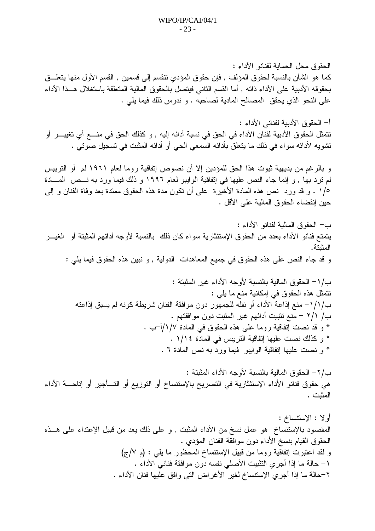الحقوق محل الحمابة لفنانو الآداء : كما هو الشأن بالنسبة لحقوق المؤلف , فإن حقوق المؤدي نتقسم إلى قسمين , القسم الأول منها يتعلـــق بحقوقه الأدبية على الأداء ذاته , أما القسم الثاني فيتصل بالحقوق المالية المتعلقة باستغلال هــذا الأداء على النحو الذي يحقق المصالح المادية لصاحبه . و ندرس ذلك فيما يلي .

أ– الحقوق الأدبية لفناني الأداء : تتمثَّل الحقوق الأدبية لفنان الأداء في الحق في نسبة أدائه إليه , و كذلك الحق في منــــع أي تغييـــر أو نتشويه لأدائه سواء في ذلك ما يتعلَّق بأدائه السمعي الحي أو أدائه المثبت في تسجيل صوتي .

و بالرغم من بديهية ثبوت هذا الحق للمؤدين إلا أن نصوص إتفاقية روما لعام ١٩٦١ لم ۖ أو التريبس لم نرد بها , و إنما جاء النص عليها في إنفاقية الوايبو لعام ١٩٩٦ و ذلك فيما ورد به نـــص المــــادة ١/٥ . و قد ورد نص هذه المادة الأخيرة على أن نكون مدة هذه الحقوق ممندة بعد وفاة الفنان و إلى حين إنقضاء الحقوق المالية على الأقل .

ب/٢– الحقو ق المالية بالنسبة لأوجه الأداء المثبتة : هي حقوق فنانو الأداء الإستئثارية في التصريح بالإستتساخ أو التوزيع أو التـــأجير أو إتاحــــة الأداء المثبت .

أو لا : الإستتساخ : المقصود بالإستنساخ هو عمل نسخ من الأداء المثبت , و على ذلك يعد من قبيل الإعتداء على هــذه الحقوق القيام بنسخ الأداء دون موافقة الفنان المؤدي . و لقد اعتبرت إتفاقية روما من قبيل الإستنساخ المحظور ما يلي : (م ٧/ج) ١– حالة ما إذا أجري النثبيت الأصلي نفسه دون موافقة فناني الأداء . ٢–حالة ما إذا أجرى الإستنساخ لغير الأغراض التي وافق عليها فنان الأداء .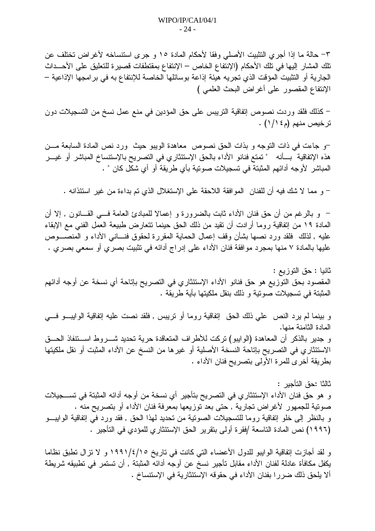٣– حالة ما إذا أجري النثبيت الأصلي وفقا لأحكام المادة ١٥ و جرى استنساخه لأغراض تختلف عن تلك المشار إليها في تلك الأحكام (الإنتفاع الخاص – الإنتفاع بمقتطفات قصبر ة للتعليق على الأحـــداث الجارية أو التثبيت المؤقت الذي تجريه هيئة إذاعة بوسائلها الخاصة للإنتفاع به في برامجها الإذاعية – الإنتفاع المقصور على أغراض البحث العلمي )

– كذلك فلقد وردت نصوص إتفاقية التريبس على حق المؤدين في منع عمل نسخ من التسجيلات دون ترخيص منهم (م١/١٤) .

–و جاءت في ذات التوجه و بذات الحق نصوص معاهدة الويبو حيث ورد نص المادة السابعة مـــن هذه الإتفاقية بـــأنه " تمتع فنانو الأداء بالحق الإستئثاري في التصريح بالإستنساخ المباشر أو غيـــر المباشر الأوجه أدائهم المثبتة في تسجيلات صوتية بأي طريقة أو أي شكل كان " .

– و مما لا شك فيه أن للفنان الموافقة اللاحقة على الإستغلال الذي تم بداءة من غير استئذانه .

– و بالرغم من أن حق فنان الأداء ثابت بالضرورة و إعمالا للمبادئ العامة فـــي القـــانون , إلا أن المادة ١٩ من إنفاقية روما أرادت أن نقيد من ذلك الحق حينما نتعارض طبيعة العمل الفني مع الإبقاء عليه , لذلك فلقد ورد نصها بشأن وقف إعمال الحماية المقررة لحقوق فنـــانـي الأداء و المنصــــوص عليها بالمادة ٧ منها بمجرد موافقة فنان الأداء على إدراج أدائه في تثبيت بصري أو سمعي بصري .

ثانيا : حق التوزيع : المقصود بحق التوزيع هو حق فنانو الأداء الإستئثاري في التصريح بإتاحة أي نسخة عن أوجه أدائهم المثبتة في تسجيلات صوتية و ذلك بنقل ملكيتها بأية طريقة .

و بينما لم يرد النص على ذلك الحق إنفاقية روما أو نريبس , فلقد نصت عليه إنفاقية الوايبـــو فــــى المادة الثامنة منها. و جدير بالذكر أن المعاهدة (الوايبو) تركت للأطراف المتعاقدة حرية تحديد شــــروط اســـتنفاذ الـحـــق الاستئثاري في التصريح بإتاحة النسخة الأصلية أو غيرها من النسخ عن الأداء المثبت أو نقل ملكيتها بطريقة أخرى للمرة الأولى بتصريح فنان الأداء .

ثالثا :حق التأجبر : و هو حق فنان الأداء الإستئثار ي في التصريح بتأجير أي نسخة من أوجه أدائه المثبتة في تســـجيلات صوتية للجمهور لأغراض تجارية , حتى بعد توزيعها بمعرفة فنان الأداء أو بتصريح منه . و بالنظر إلى خلو إتفاقية روما للتسجيلات الصونية من تحديد لهذا الحق , فقد ورد في إتفاقية الوايبــو (١٩٩٦) نص المادة التاسعة /فقرة أولى بتقرير الحق الإستئثاري للمؤدي في التأجير .

و لقد أجازت إتفاقية الوايبو للدول الأعضاء التي كانت في تاريخ ١٩٩١/٤/١٩٩٠ و لا نزال نطبق نظاما يكفل مكافأة عادلة لفنان الأداء مقابل تأجير نسخ عن أوجه أدائه المثبتة , أن تستمر في تطبيقه شريطة ألا بلحق ذلك ضررا بفنان الأداء في حقوقه الإستئثارية في الإستتساخ .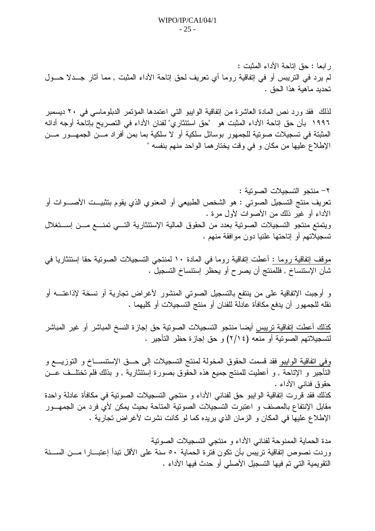ر ابعا : حقٍّ إتَّاحة الأداء المثبت : لم يرد في النريبس أو في إنفاقية روما أي نعريف لحق إناحة الأداء المثبت , مما أثار جــدلا حــول تحديد ماهية هذا الحق .

لذلك فقد ورد نص المادة العاشرة من إنفاقية الوايبو التي اعتمدها المؤتمر الدبلوماسي في ٢٠ ديسمبر ١٩٩٦ بأن حق إتاحة الأداء المثبت هو "حق استئثار ي" لفنان الأداء في النصريح بإتاحة أوجه أدائه المثبتة في تسجيلات صونية للجمهور بوسائل سلكية أو لا سلكية بما بمن أفراد مـــن الجمهـــور مـــن الإطلاع عليها من مكان و في وقت يختار هما الواحد منهم بنفسه "

٢- منتجو التسجيلات الصوتية : تعريف منتج التسجيل الصوتي : هو الشخص الطبيعي أو المعنوي الذي يقوم بتثبيــت الأصــــوات أو الأداء أو غير ذلك من الأصوات لأول مرة . ويتمتع منتجو التسجيلات الصونية بعدد من الحقوق المالية الإستئثارية التسي تمنسع مسن إستغلال نسجيلاتهم أو إناحتها علنيا دون موافقة منهم .

موقف إتفاقية روما : أعطت إتفاقية روما في المادة ١٠ لمنتجي التسجيلات الصوتية حقا إستئثاريا في شأن الإستتساخ , فللمنتج أن يصرح أو يحظر إستتساخ التسجيل .

و أوجبت الإتفاقية على من ينتفع بالتسجيل الصوتي المنشور لأغراض تجارية أو نسخة لإذاعتــــه أو نقله للجمهور أن يدفع مكافأة عادلة للفنان أو منتج التسجيلات أو كليهما .

كذلك أعطت إتفاقية تريبس أيضا منتجو التسجيلات الصوتية حق إجازة النسخ المباشر أو غير المباشر لتسجيلاتهم الصوتية أو منعه (٢/١٤) و حق إجازة حظر التأجير .

وفي اتفاقية الوابيو فقد قسمت الحقوق المخولة لمنتج التسجيلات إلى حـــق الإستتســــاخ و التوزيــــع و التأجير و الإتاحة , و أعطيت للمنتج جميع هذه الحقوق بصورة إستئثارية , و بذلك فلم تختلــف عـــن حقوق فنانبي الأداء . كذلك فقد قررت إتفاقية الوابيو حق لفناني الأداء و منتجي التسجيلات الصوتية في مكافأة عادلة واحدة مقابل الإنتفاع بالمصنف و اعتبرت التسجيلات الصونية المتاحة بحيث يمكن لأى فرد من الجمهــور الإطلاع عليها في المكان و الزمان الذي يريده كما لو كانت نشرت لأغراض تجارية .

مدة الحماية الممنوحة لفناني الأداء و منتجى التسجيلات الصونية وردت نصوص إتفاقية تريبس بأن تكون فترة الحماية ٥٠ سنة على الأقل تبدأ إعتبــارا مـــن الســـنة النقويمية التي تم فيها التسجيل الأصلي أو حدث فيها الأداء .